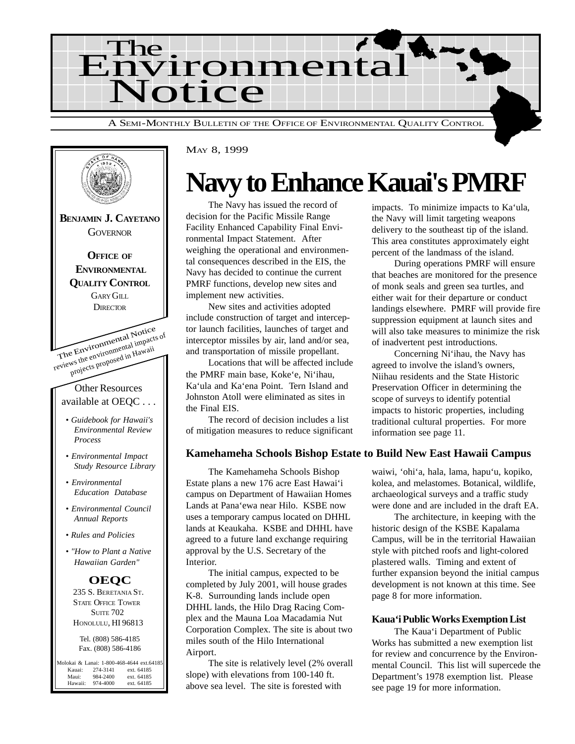



#### MAY 8, 1999

## **Navy to Enhance Kauai's PMRF**

The Navy has issued the record of decision for the Pacific Missile Range Facility Enhanced Capability Final Environmental Impact Statement. After weighing the operational and environmental consequences described in the EIS, the Navy has decided to continue the current PMRF functions, develop new sites and implement new activities.

New sites and activities adopted include construction of target and interceptor launch facilities, launches of target and interceptor missiles by air, land and/or sea, and transportation of missile propellant.

Locations that will be affected include the PMRF main base, Koke'e, Ni'ihau, Ka'ula and Ka'ena Point. Tern Island and Johnston Atoll were eliminated as sites in the Final EIS.

The record of decision includes a list of mitigation measures to reduce significant

#### **Kamehameha Schools Bishop Estate to Build New East Hawaii Campus**

The Kamehameha Schools Bishop Estate plans a new 176 acre East Hawai'i campus on Department of Hawaiian Homes Lands at Pana'ewa near Hilo. KSBE now uses a temporary campus located on DHHL lands at Keaukaha. KSBE and DHHL have agreed to a future land exchange requiring approval by the U.S. Secretary of the Interior.

The initial campus, expected to be completed by July 2001, will house grades K-8. Surrounding lands include open DHHL lands, the Hilo Drag Racing Complex and the Mauna Loa Macadamia Nut Corporation Complex. The site is about two miles south of the Hilo International Airport.

The site is relatively level (2% overall slope) with elevations from 100-140 ft. above sea level. The site is forested with

impacts. To minimize impacts to Ka'ula, the Navy will limit targeting weapons delivery to the southeast tip of the island. This area constitutes approximately eight percent of the landmass of the island.

During operations PMRF will ensure that beaches are monitored for the presence of monk seals and green sea turtles, and either wait for their departure or conduct landings elsewhere. PMRF will provide fire suppression equipment at launch sites and will also take measures to minimize the risk of inadvertent pest introductions.

Concerning Ni'ihau, the Navy has agreed to involve the island's owners, Niihau residents and the State Historic Preservation Officer in determining the scope of surveys to identify potential impacts to historic properties, including traditional cultural properties. For more information see page 11.

waiwi, 'ohi'a, hala, lama, hapu'u, kopiko, kolea, and melastomes. Botanical, wildlife, archaeological surveys and a traffic study were done and are included in the draft EA.

The architecture, in keeping with the historic design of the KSBE Kapalama Campus, will be in the territorial Hawaiian style with pitched roofs and light-colored plastered walls. Timing and extent of further expansion beyond the initial campus development is not known at this time. See page 8 for more information.

#### **Kaua'i Public Works Exemption List**

The Kaua'i Department of Public Works has submitted a new exemption list for review and concurrence by the Environmental Council. This list will supercede the Department's 1978 exemption list. Please see page 19 for more information.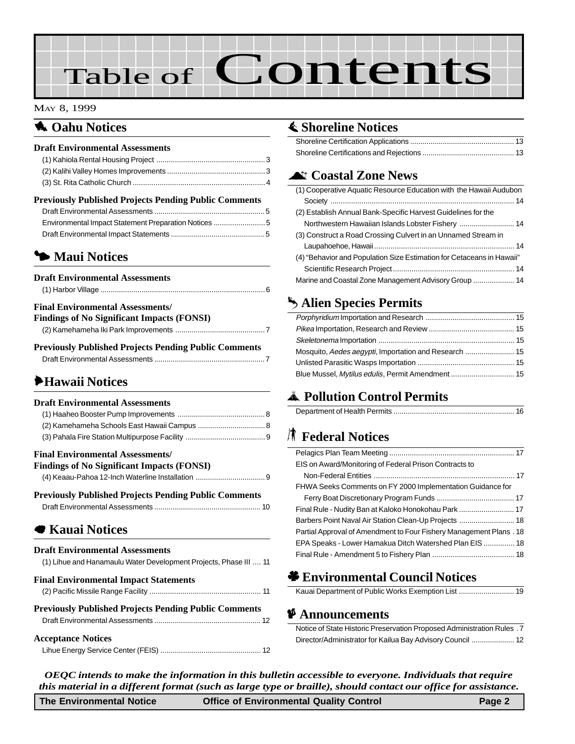# Table of Contents

#### MAY 8, 1999

### **1** Oahu Notices

#### **Draft Environmental Assessments** [\(1\) Kahiola Rental Housing Project .....................................................3](#page-2-0) [\(2\) Kalihi Valley Homes Improvements ................................................3](#page-2-0) [\(3\) St. Rita Catholic Church ................................................................4](#page-3-0)

#### **Previously Published Projects Pending Public Comments**

| Environmental Impact Statement Preparation Notices |  |
|----------------------------------------------------|--|
|                                                    |  |

### 3 **Maui Notices**

| <b>Draft Environmental Assessments</b>                 |  |
|--------------------------------------------------------|--|
|                                                        |  |
| <b>Final Environmental Assessments/</b>                |  |
| <b>Findings of No Significant Impacts (FONSI)</b>      |  |
|                                                        |  |
| Ductional v Duklicked Ductoria Dending Duklig Commonts |  |

**Previously Published Projects Pending Public Comments** [Draft Environmental Assessments ......................................................7](#page-6-0)

### 6**Hawaii Notices**

#### **Draft Environmental Assessments** [\(1\) Haaheo Booster Pump Improvements ...........................................8](#page-7-0) [\(2\) Kamehameha Schools East Hawaii Campus .................................8](#page-7-0) [\(3\) Pahala Fire Station Multipurpose Facility .......................................9](#page-8-0) **Final Environmental Assessments/ Findings of No Significant Impacts (FONSI)** [\(4\) Keaau-Pahoa 12-Inch Waterline Installation ..................................9](#page-8-0) **Previously Published Projects Pending Public Comments** [Draft Environmental Assessments .................................................... 10](#page-9-0)

### 7 **Kauai Notices**

#### **Draft Environmental Assessments**

| (1) Lihue and Hanamaulu Water Development Projects, Phase III  11 |  |
|-------------------------------------------------------------------|--|
| <b>Final Environmental Impact Statements</b>                      |  |
|                                                                   |  |
| <b>Previously Published Projects Pending Public Comments</b>      |  |
|                                                                   |  |
| <b>Acceptance Notices</b>                                         |  |
|                                                                   |  |

### s **[Shoreline Notices](#page-12-0)**

### ^ **Coastal Zone News**

| (1) Cooperative Aquatic Resource Education with the Hawaii Audubon    |  |
|-----------------------------------------------------------------------|--|
|                                                                       |  |
| (2) Establish Annual Bank-Specific Harvest Guidelines for the         |  |
|                                                                       |  |
| (3) Construct a Road Crossing Culvert in an Unnamed Stream in         |  |
|                                                                       |  |
| (4) "Behavior and Population Size Estimation for Cetaceans in Hawaii" |  |
|                                                                       |  |
| Marine and Coastal Zone Management Advisory Group  14                 |  |

### g **Alien Species Permits**

| Blue Mussel, Mytilus edulis, Permit Amendment  15 |
|---------------------------------------------------|

### V **Pollution Control Permits**

|--|

### *K* Federal Notices

| EIS on Award/Monitoring of Federal Prison Contracts to              |
|---------------------------------------------------------------------|
|                                                                     |
| FHWA Seeks Comments on FY 2000 Implementation Guidance for          |
|                                                                     |
|                                                                     |
|                                                                     |
| Partial Approval of Amendment to Four Fishery Management Plans . 18 |
| EPA Speaks - Lower Hamakua Ditch Watershed Plan EIS  18             |
|                                                                     |

### ' **Environmental Council Notices**

#### C **Announcements**

| Notice of State Historic Preservation Proposed Administration Rules . 7 |  |
|-------------------------------------------------------------------------|--|
|                                                                         |  |

*OEQC intends to make the information in this bulletin accessible to everyone. Individuals that require this material in a different format (such as large type or braille), should contact our office for assistance.*

| <b>The Environmental Notice</b> | <b>Office of Environmental Quality Control</b> | Page 2 |
|---------------------------------|------------------------------------------------|--------|
|---------------------------------|------------------------------------------------|--------|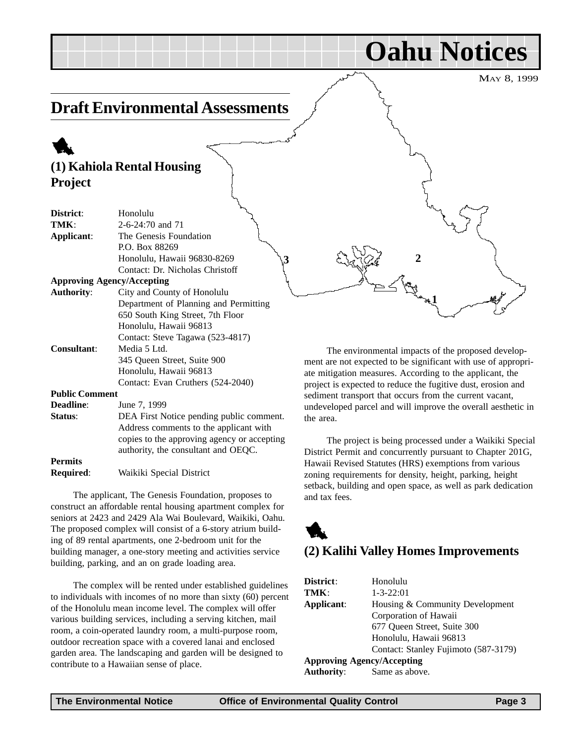#### <span id="page-2-0"></span>MAY 8, 1999 **Draft Environmental Assessments** 1 **(1) Kahiola Rental Housing Project District**: Honolulu **TMK**: 2-6-24:70 and 71 **Applicant**: The Genesis Foundation P.O. Box 88269 Honolulu, Hawaii 96830-8269 Contact: Dr. Nicholas Christoff **Approving Agency/Accepting Authority**: City and County of Honolulu Department of Planning and Permitting 650 South King Street, 7th Floor Honolulu, Hawaii 96813 Contact: Steve Tagawa (523-4817) **Consultant**: Media 5 Ltd. 345 Queen Street, Suite 900 Honolulu, Hawaii 96813 Contact: Evan Cruthers (524-2040) **Public Comment Deadline**: June 7, 1999 **Status:** DEA First Notice pending public comment. Address comments to the applicant with copies to the approving agency or accepting authority, the consultant and OEQC. The environmental impacts of the proposed development are not expected to be significant with use of appropriate mitigation measures. According to the applicant, the project is expected to reduce the fugitive dust, erosion and sediment transport that occurs from the current vacant, undeveloped parcel and will improve the overall aesthetic in the area.  $3 \frac{2}{3}$  **2 1**

**Permits**

**Required**: Waikiki Special District

The applicant, The Genesis Foundation, proposes to construct an affordable rental housing apartment complex for seniors at 2423 and 2429 Ala Wai Boulevard, Waikiki, Oahu. The proposed complex will consist of a 6-story atrium building of 89 rental apartments, one 2-bedroom unit for the building manager, a one-story meeting and activities service building, parking, and an on grade loading area.

The complex will be rented under established guidelines to individuals with incomes of no more than sixty (60) percent of the Honolulu mean income level. The complex will offer various building services, including a serving kitchen, mail room, a coin-operated laundry room, a multi-purpose room, outdoor recreation space with a covered lanai and enclosed garden area. The landscaping and garden will be designed to contribute to a Hawaiian sense of place.

The project is being processed under a Waikiki Special District Permit and concurrently pursuant to Chapter 201G, Hawaii Revised Statutes (HRS) exemptions from various zoning requirements for density, height, parking, height setback, building and open space, as well as park dedication and tax fees.

**Oahu Notices**



### **(2) Kalihi Valley Homes Improvements**

| District:                         | Honolulu                             |
|-----------------------------------|--------------------------------------|
| TMK:                              | $1 - 3 - 22:01$                      |
| Applicant:                        | Housing & Community Development      |
|                                   | Corporation of Hawaii                |
|                                   | 677 Queen Street, Suite 300          |
|                                   | Honolulu, Hawaii 96813               |
|                                   | Contact: Stanley Fujimoto (587-3179) |
| <b>Approving Agency/Accepting</b> |                                      |
| <b>Authority:</b>                 | Same as above.                       |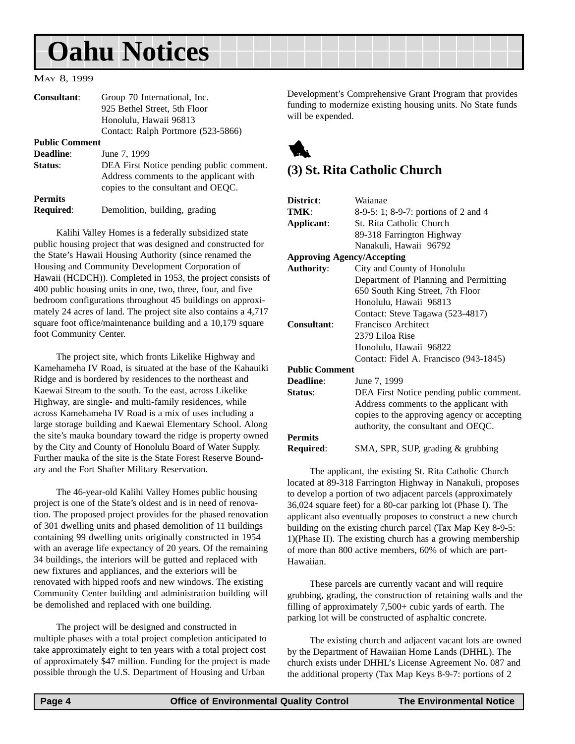## <span id="page-3-0"></span>**Oahu Notices**

#### MAY 8, 1999

| <b>Consultant:</b>                 | Group 70 International, Inc.                                                                                             |
|------------------------------------|--------------------------------------------------------------------------------------------------------------------------|
|                                    | 925 Bethel Street, 5th Floor                                                                                             |
|                                    | Honolulu, Hawaii 96813                                                                                                   |
|                                    | Contact: Ralph Portmore (523-5866)                                                                                       |
| <b>Public Comment</b>              |                                                                                                                          |
| <b>Deadline:</b>                   | June 7, 1999                                                                                                             |
| Status:                            | DEA First Notice pending public comment.<br>Address comments to the applicant with<br>copies to the consultant and OEQC. |
| <b>Permits</b><br><b>Required:</b> | Demolition, building, grading                                                                                            |

Kalihi Valley Homes is a federally subsidized state public housing project that was designed and constructed for the State's Hawaii Housing Authority (since renamed the Housing and Community Development Corporation of Hawaii (HCDCH)). Completed in 1953, the project consists of 400 public housing units in one, two, three, four, and five bedroom configurations throughout 45 buildings on approximately 24 acres of land. The project site also contains a 4,717 square foot office/maintenance building and a 10,179 square foot Community Center.

The project site, which fronts Likelike Highway and Kamehameha IV Road, is situated at the base of the Kahauiki Ridge and is bordered by residences to the northeast and Kaewai Stream to the south. To the east, across Likelike Highway, are single- and multi-family residences, while across Kamehameha IV Road is a mix of uses including a large storage building and Kaewai Elementary School. Along the site's mauka boundary toward the ridge is property owned by the City and County of Honolulu Board of Water Supply. Further mauka of the site is the State Forest Reserve Boundary and the Fort Shafter Military Reservation.

The 46-year-old Kalihi Valley Homes public housing project is one of the State's oldest and is in need of renovation. The proposed project provides for the phased renovation of 301 dwelling units and phased demolition of 11 buildings containing 99 dwelling units originally constructed in 1954 with an average life expectancy of 20 years. Of the remaining 34 buildings, the interiors will be gutted and replaced with new fixtures and appliances, and the exteriors will be renovated with hipped roofs and new windows. The existing Community Center building and administration building will be demolished and replaced with one building.

The project will be designed and constructed in multiple phases with a total project completion anticipated to take approximately eight to ten years with a total project cost of approximately \$47 million. Funding for the project is made possible through the U.S. Department of Housing and Urban

Development's Comprehensive Grant Program that provides funding to modernize existing housing units. No State funds will be expended.

1

#### **(3) St. Rita Catholic Church**

| District:             | Waianae                                     |
|-----------------------|---------------------------------------------|
| TMK:                  | 8-9-5: 1; 8-9-7: portions of 2 and 4        |
| Applicant:            | St. Rita Catholic Church                    |
|                       | 89-318 Farrington Highway                   |
|                       | Nanakuli, Hawaii 96792                      |
|                       | <b>Approving Agency/Accepting</b>           |
| <b>Authority:</b>     | City and County of Honolulu                 |
|                       | Department of Planning and Permitting       |
|                       | 650 South King Street, 7th Floor            |
|                       | Honolulu, Hawaii 96813                      |
|                       | Contact: Steve Tagawa (523-4817)            |
| <b>Consultant:</b>    | Francisco Architect                         |
|                       | 2379 Liloa Rise                             |
|                       | Honolulu, Hawaii 96822                      |
|                       | Contact: Fidel A. Francisco (943-1845)      |
| <b>Public Comment</b> |                                             |
| Deadline:             | June 7, 1999                                |
| Status:               | DEA First Notice pending public comment.    |
|                       | Address comments to the applicant with      |
|                       | copies to the approving agency or accepting |
|                       | authority, the consultant and OEQC.         |
| <b>Permits</b>        |                                             |
| Required:             | SMA, SPR, SUP, grading & grubbing           |

The applicant, the existing St. Rita Catholic Church located at 89-318 Farrington Highway in Nanakuli, proposes to develop a portion of two adjacent parcels (approximately 36,024 square feet) for a 80-car parking lot (Phase I). The applicant also eventually proposes to construct a new church building on the existing church parcel (Tax Map Key 8-9-5: 1)(Phase II). The existing church has a growing membership of more than 800 active members, 60% of which are part-Hawaiian.

These parcels are currently vacant and will require grubbing, grading, the construction of retaining walls and the filling of approximately 7,500+ cubic yards of earth. The parking lot will be constructed of asphaltic concrete.

The existing church and adjacent vacant lots are owned by the Department of Hawaiian Home Lands (DHHL). The church exists under DHHL's License Agreement No. 087 and the additional property (Tax Map Keys 8-9-7: portions of 2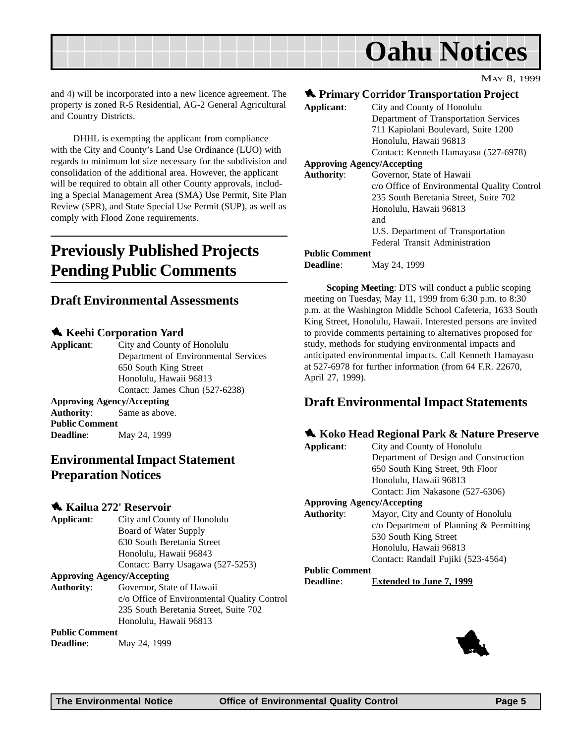<span id="page-4-0"></span>

MAY 8, 1999

and 4) will be incorporated into a new licence agreement. The property is zoned R-5 Residential, AG-2 General Agricultural and Country Districts.

DHHL is exempting the applicant from compliance with the City and County's Land Use Ordinance (LUO) with regards to minimum lot size necessary for the subdivision and consolidation of the additional area. However, the applicant will be required to obtain all other County approvals, including a Special Management Area (SMA) Use Permit, Site Plan Review (SPR), and State Special Use Permit (SUP), as well as comply with Flood Zone requirements.

### **Previously Published Projects Pending Public Comments**

#### **Draft Environmental Assessments**

#### **Keehi Corporation Yard**

**Applicant**: City and County of Honolulu Department of Environmental Services 650 South King Street Honolulu, Hawaii 96813 Contact: James Chun (527-6238) **Approving Agency/Accepting Authority**: Same as above. **Public Comment Deadline**: May 24, 1999

#### **Environmental Impact Statement Preparation Notices**

#### 1 **Kailua 272' Reservoir**

**Applicant**: City and County of Honolulu Board of Water Supply 630 South Beretania Street Honolulu, Hawaii 96843 Contact: Barry Usagawa (527-5253) **Approving Agency/Accepting Authority**: Governor, State of Hawaii c/o Office of Environmental Quality Control

235 South Beretania Street, Suite 702

#### Honolulu, Hawaii 96813 **Public Comment**

**Deadline**: May 24, 1999

#### $\triangle$  **Primary Corridor Transportation Project**

| Applicant:                        | City and County of Honolulu                 |
|-----------------------------------|---------------------------------------------|
|                                   | Department of Transportation Services       |
|                                   | 711 Kapiolani Boulevard, Suite 1200         |
|                                   | Honolulu, Hawaii 96813                      |
|                                   | Contact: Kenneth Hamayasu (527-6978)        |
| <b>Approving Agency/Accepting</b> |                                             |
| <b>Authority:</b>                 | Governor, State of Hawaii                   |
|                                   | c/o Office of Environmental Quality Control |
|                                   | 235 South Beretania Street, Suite 702       |
|                                   | Honolulu, Hawaii 96813                      |
|                                   | and                                         |
|                                   | U.S. Department of Transportation           |
|                                   | Federal Transit Administration              |
| <b>Public Comment</b>             |                                             |
| <b>Deadline:</b>                  | May 24, 1999                                |

**Scoping Meeting**: DTS will conduct a public scoping meeting on Tuesday, May 11, 1999 from 6:30 p.m. to 8:30 p.m. at the Washington Middle School Cafeteria, 1633 South King Street, Honolulu, Hawaii. Interested persons are invited to provide comments pertaining to alternatives proposed for study, methods for studying environmental impacts and anticipated environmental impacts. Call Kenneth Hamayasu at 527-6978 for further information (from 64 F.R. 22670, April 27, 1999).

#### **Draft Environmental Impact Statements**

#### 1 **Koko Head Regional Park & Nature Preserve**

| Applicant:            | City and County of Honolulu             |
|-----------------------|-----------------------------------------|
|                       | Department of Design and Construction   |
|                       | 650 South King Street, 9th Floor        |
|                       | Honolulu, Hawaii 96813                  |
|                       | Contact: Jim Nakasone (527-6306)        |
|                       | <b>Approving Agency/Accepting</b>       |
| <b>Authority:</b>     | Mayor, City and County of Honolulu      |
|                       | $c$ Department of Planning & Permitting |
|                       | 530 South King Street                   |
|                       | Honolulu, Hawaii 96813                  |
|                       | Contact: Randall Fujiki (523-4564)      |
| <b>Public Comment</b> |                                         |
| Deadline:             | <b>Extended to June 7, 1999</b>         |

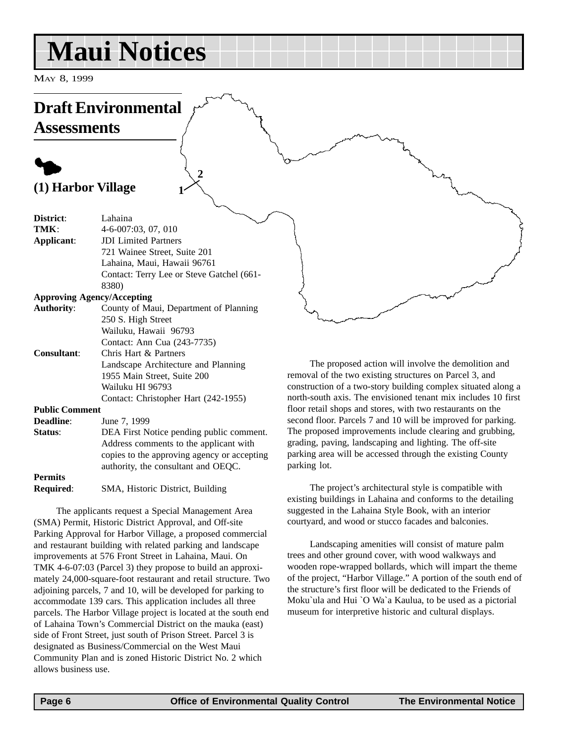## <span id="page-5-0"></span>**Maui Notices**

MAY 8, 1999

## **Draft Environmental**

**Assessments**

### $\blacklozenge$ **(1) Harbor Village**

| District:                      | Lahaina                                     |
|--------------------------------|---------------------------------------------|
| TMK:                           | 4-6-007:03, 07, 010                         |
| Applicant:                     | <b>JDI</b> Limited Partners                 |
|                                | 721 Wainee Street, Suite 201                |
|                                | Lahaina, Maui, Hawaii 96761                 |
|                                | Contact: Terry Lee or Steve Gatchel (661-   |
|                                | 8380)                                       |
|                                | <b>Approving Agency/Accepting</b>           |
| <b>Authority:</b>              | County of Maui, Department of Planning      |
|                                | 250 S. High Street                          |
|                                | Wailuku, Hawaii 96793                       |
|                                | Contact: Ann Cua (243-7735)                 |
| <b>Consultant:</b>             | Chris Hart & Partners                       |
|                                | Landscape Architecture and Planning         |
|                                | 1955 Main Street, Suite 200                 |
|                                | Wailuku HI 96793                            |
|                                | Contact: Christopher Hart (242-1955)        |
| <b>Public Comment</b>          |                                             |
| <b>Deadline:</b>               | June 7, 1999                                |
| Status:                        | DEA First Notice pending public comment.    |
|                                | Address comments to the applicant with      |
|                                | copies to the approving agency or accepting |
|                                | authority, the consultant and OEQC.         |
| $D_{\alpha}$ $\cdots$ $\cdots$ |                                             |

**2**

**1**

#### **Permits**

**Required**: SMA, Historic District, Building

The applicants request a Special Management Area (SMA) Permit, Historic District Approval, and Off-site Parking Approval for Harbor Village, a proposed commercial and restaurant building with related parking and landscape improvements at 576 Front Street in Lahaina, Maui. On TMK 4-6-07:03 (Parcel 3) they propose to build an approximately 24,000-square-foot restaurant and retail structure. Two adjoining parcels, 7 and 10, will be developed for parking to accommodate 139 cars. This application includes all three parcels. The Harbor Village project is located at the south end of Lahaina Town's Commercial District on the mauka (east) side of Front Street, just south of Prison Street. Parcel 3 is designated as Business/Commercial on the West Maui Community Plan and is zoned Historic District No. 2 which allows business use.

The proposed action will involve the demolition and removal of the two existing structures on Parcel 3, and construction of a two-story building complex situated along a north-south axis. The envisioned tenant mix includes 10 first floor retail shops and stores, with two restaurants on the second floor. Parcels 7 and 10 will be improved for parking. The proposed improvements include clearing and grubbing, grading, paving, landscaping and lighting. The off-site parking area will be accessed through the existing County parking lot.

The project's architectural style is compatible with existing buildings in Lahaina and conforms to the detailing suggested in the Lahaina Style Book, with an interior courtyard, and wood or stucco facades and balconies.

Landscaping amenities will consist of mature palm trees and other ground cover, with wood walkways and wooden rope-wrapped bollards, which will impart the theme of the project, "Harbor Village." A portion of the south end of the structure's first floor will be dedicated to the Friends of Moku`ula and Hui `O Wa`a Kaulua, to be used as a pictorial museum for interpretive historic and cultural displays.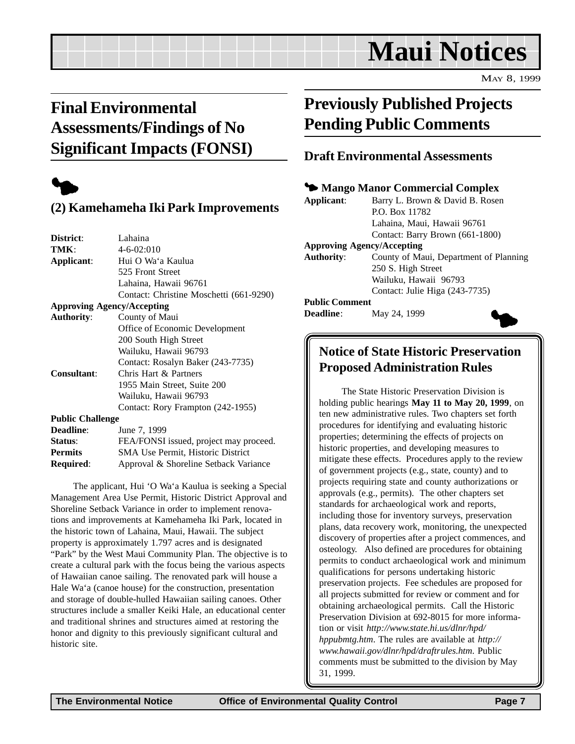## **Maui Notices**

MAY 8, 1999

### <span id="page-6-0"></span>**Final Environmental Assessments/Findings of No Significant Impacts (FONSI)**



### **(2) Kamehameha Iki Park Improvements**

| District:               | Lahaina                                 |
|-------------------------|-----------------------------------------|
| TMK:                    | 4-6-02:010                              |
| Applicant:              | Hui O Wa'a Kaulua                       |
|                         | 525 Front Street                        |
|                         | Lahaina, Hawaii 96761                   |
|                         | Contact: Christine Moschetti (661-9290) |
|                         | <b>Approving Agency/Accepting</b>       |
| <b>Authority:</b>       | County of Maui                          |
|                         | Office of Economic Development          |
|                         | 200 South High Street                   |
|                         | Wailuku, Hawaii 96793                   |
|                         | Contact: Rosalyn Baker (243-7735)       |
| <b>Consultant:</b>      | Chris Hart & Partners                   |
|                         | 1955 Main Street, Suite 200             |
|                         | Wailuku, Hawaii 96793                   |
|                         | Contact: Rory Frampton (242-1955)       |
| <b>Public Challenge</b> |                                         |
| <b>Deadline:</b>        | June 7, 1999                            |
|                         |                                         |

**Status:** FEA/FONSI issued, project may proceed. **Permits** SMA Use Permit, Historic District **Required**: Approval & Shoreline Setback Variance

The applicant, Hui 'O Wa'a Kaulua is seeking a Special Management Area Use Permit, Historic District Approval and Shoreline Setback Variance in order to implement renovations and improvements at Kamehameha Iki Park, located in the historic town of Lahaina, Maui, Hawaii. The subject property is approximately 1.797 acres and is designated "Park" by the West Maui Community Plan. The objective is to create a cultural park with the focus being the various aspects of Hawaiian canoe sailing. The renovated park will house a Hale Wa'a (canoe house) for the construction, presentation and storage of double-hulled Hawaiian sailing canoes. Other structures include a smaller Keiki Hale, an educational center and traditional shrines and structures aimed at restoring the honor and dignity to this previously significant cultural and historic site.

### **Previously Published Projects Pending Public Comments**

#### **Draft Environmental Assessments**

#### 3 **Mango Manor Commercial Complex**

| Applicant:        | Barry L. Brown & David B. Rosen        |
|-------------------|----------------------------------------|
|                   | P.O. Box 11782                         |
|                   | Lahaina, Maui, Hawaii 96761            |
|                   | Contact: Barry Brown (661-1800)        |
|                   | <b>Approving Agency/Accepting</b>      |
| <b>Authority:</b> | County of Maui, Department of Planning |
|                   | 250 S. High Street                     |
|                   | Wailuku, Hawaii 96793                  |
|                   | Contact: Julie Higa (243-7735)         |

**Public Comment**

**Deadline**: May 24, 1999



### **Notice of State Historic Preservation Proposed Administration Rules**

The State Historic Preservation Division is holding public hearings **May 11 to May 20, 1999**, on ten new administrative rules. Two chapters set forth procedures for identifying and evaluating historic properties; determining the effects of projects on historic properties, and developing measures to mitigate these effects. Procedures apply to the review of government projects (e.g., state, county) and to projects requiring state and county authorizations or approvals (e.g., permits). The other chapters set standards for archaeological work and reports, including those for inventory surveys, preservation plans, data recovery work, monitoring, the unexpected discovery of properties after a project commences, and osteology. Also defined are procedures for obtaining permits to conduct archaeological work and minimum qualifications for persons undertaking historic preservation projects. Fee schedules are proposed for all projects submitted for review or comment and for obtaining archaeological permits. Call the Historic Preservation Division at 692-8015 for more information or visit *http://www.state.hi.us/dlnr/hpd/ hppubmtg.htm*. The rules are available at *http:// www.hawaii.gov/dlnr/hpd/draftrules.htm*. Public comments must be submitted to the division by May 31, 1999.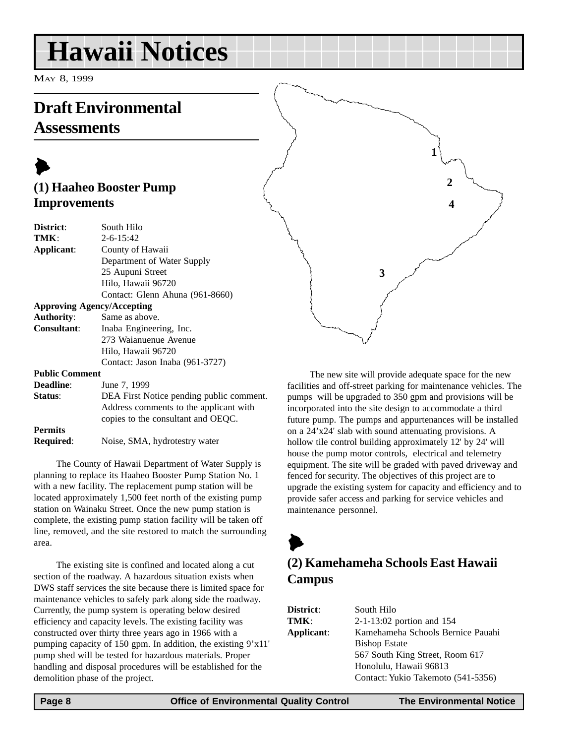## <span id="page-7-0"></span>**Hawaii Notices**

MAY 8, 1999

### **Draft Environmental Assessments**

### $\blacktriangleright$ **(1) Haaheo Booster Pump Improvements**

| District:             | South Hilo                               |
|-----------------------|------------------------------------------|
| TMK:                  | $2 - 6 - 15:42$                          |
| Applicant:            | County of Hawaii                         |
|                       | Department of Water Supply               |
|                       | 25 Aupuni Street                         |
|                       | Hilo, Hawaii 96720                       |
|                       | Contact: Glenn Ahuna (961-8660)          |
|                       | <b>Approving Agency/Accepting</b>        |
| <b>Authority:</b>     | Same as above.                           |
| <b>Consultant:</b>    | Inaba Engineering, Inc.                  |
|                       | 273 Waianuenue Avenue                    |
|                       | Hilo, Hawaii 96720                       |
|                       | Contact: Jason Inaba (961-3727)          |
| <b>Public Comment</b> |                                          |
| <b>Deadline:</b>      | June 7, 1999                             |
| Status:               | DEA First Notice pending public comment. |
|                       | Address comments to the applicant with   |
|                       | copies to the consultant and OEQC.       |

**Permits Required:** Noise, SMA, hydrotestry water

The County of Hawaii Department of Water Supply is planning to replace its Haaheo Booster Pump Station No. 1 with a new facility. The replacement pump station will be located approximately 1,500 feet north of the existing pump station on Wainaku Street. Once the new pump station is complete, the existing pump station facility will be taken off line, removed, and the site restored to match the surrounding area.

The existing site is confined and located along a cut section of the roadway. A hazardous situation exists when DWS staff services the site because there is limited space for maintenance vehicles to safely park along side the roadway. Currently, the pump system is operating below desired efficiency and capacity levels. The existing facility was constructed over thirty three years ago in 1966 with a pumping capacity of 150 gpm. In addition, the existing 9'x11' pump shed will be tested for hazardous materials. Proper handling and disposal procedures will be established for the demolition phase of the project.

The new site will provide adequate space for the new facilities and off-street parking for maintenance vehicles. The pumps will be upgraded to 350 gpm and provisions will be incorporated into the site design to accommodate a third future pump. The pumps and appurtenances will be installed on a 24'x24' slab with sound attenuating provisions. A hollow tile control building approximately 12' by 24' will house the pump motor controls, electrical and telemetry equipment. The site will be graded with paved driveway and fenced for security. The objectives of this project are to upgrade the existing system for capacity and efficiency and to provide safer access and parking for service vehicles and maintenance personnel.

### $\blacktriangleright$ **(2) Kamehameha Schools East Hawaii Campus**

| <b>District:</b> | South Hilo                         |
|------------------|------------------------------------|
| TMK:             | $2-1-13:02$ portion and 154        |
| Applicant:       | Kamehameha Schools Bernice Pauahi  |
|                  | <b>Bishop Estate</b>               |
|                  | 567 South King Street, Room 617    |
|                  | Honolulu, Hawaii 96813             |
|                  | Contact: Yukio Takemoto (541-5356) |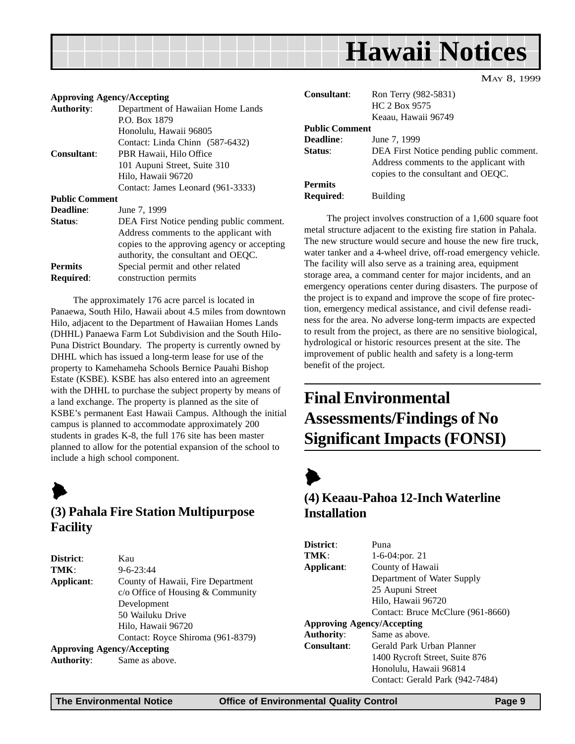## **Hawaii Notices**

#### <span id="page-8-0"></span>**Approving Agency/Accepting**

|                       | 1                                           |
|-----------------------|---------------------------------------------|
| <b>Authority:</b>     | Department of Hawaiian Home Lands           |
|                       | P.O. Box 1879                               |
|                       | Honolulu, Hawaii 96805                      |
|                       | Contact: Linda Chinn (587-6432)             |
| Consultant:           | PBR Hawaii, Hilo Office                     |
|                       | 101 Aupuni Street, Suite 310                |
|                       | Hilo, Hawaii 96720                          |
|                       | Contact: James Leonard (961-3333)           |
| <b>Public Comment</b> |                                             |
| <b>Deadline:</b>      | June 7, 1999                                |
| Status:               | DEA First Notice pending public comment.    |
|                       | Address comments to the applicant with      |
|                       | copies to the approving agency or accepting |
|                       | authority, the consultant and OEQC.         |
| <b>Permits</b>        | Special permit and other related            |
| Required:             | construction permits                        |
|                       |                                             |

The approximately 176 acre parcel is located in Panaewa, South Hilo, Hawaii about 4.5 miles from downtown Hilo, adjacent to the Department of Hawaiian Homes Lands (DHHL) Panaewa Farm Lot Subdivision and the South Hilo-Puna District Boundary. The property is currently owned by DHHL which has issued a long-term lease for use of the property to Kamehameha Schools Bernice Pauahi Bishop Estate (KSBE). KSBE has also entered into an agreement with the DHHL to purchase the subject property by means of a land exchange. The property is planned as the site of KSBE's permanent East Hawaii Campus. Although the initial campus is planned to accommodate approximately 200 students in grades K-8, the full 176 site has been master planned to allow for the potential expansion of the school to include a high school component.



#### **(3) Pahala Fire Station Multipurpose Facility**

| District:                         | Kau                               |
|-----------------------------------|-----------------------------------|
| TMK:                              | $9 - 6 - 23.44$                   |
| Applicant:                        | County of Hawaii, Fire Department |
|                                   | $c$ Office of Housing & Community |
|                                   | Development                       |
|                                   | 50 Wailuku Drive                  |
|                                   | Hilo, Hawaii 96720                |
|                                   | Contact: Royce Shiroma (961-8379) |
| <b>Approving Agency/Accepting</b> |                                   |
| <b>Authority:</b>                 | Same as above.                    |

| Consultant:           | Ron Terry (982-5831)<br>HC 2 Box 9575<br>Keaau, Hawaii 96749                                                             |
|-----------------------|--------------------------------------------------------------------------------------------------------------------------|
| <b>Public Comment</b> |                                                                                                                          |
| <b>Deadline:</b>      | June 7, 1999                                                                                                             |
| Status:               | DEA First Notice pending public comment.<br>Address comments to the applicant with<br>copies to the consultant and OEQC. |
| <b>Permits</b>        |                                                                                                                          |
| <b>Required:</b>      | Building                                                                                                                 |

The project involves construction of a 1,600 square foot metal structure adjacent to the existing fire station in Pahala. The new structure would secure and house the new fire truck, water tanker and a 4-wheel drive, off-road emergency vehicle. The facility will also serve as a training area, equipment storage area, a command center for major incidents, and an emergency operations center during disasters. The purpose of the project is to expand and improve the scope of fire protection, emergency medical assistance, and civil defense readiness for the area. No adverse long-term impacts are expected to result from the project, as there are no sensitive biological, hydrological or historic resources present at the site. The improvement of public health and safety is a long-term benefit of the project.

### **Final Environmental Assessments/Findings of No Significant Impacts (FONSI)**

### $\blacktriangleright$

#### **(4) Keaau-Pahoa 12-Inch Waterline Installation**

| District:                         | Puna                              |  |
|-----------------------------------|-----------------------------------|--|
| TMK:                              | 1-6-04: por. 21                   |  |
| Applicant:                        | County of Hawaii                  |  |
|                                   | Department of Water Supply        |  |
|                                   | 25 Aupuni Street                  |  |
|                                   | Hilo, Hawaii 96720                |  |
|                                   | Contact: Bruce McClure (961-8660) |  |
| <b>Approving Agency/Accepting</b> |                                   |  |
| <b>Authority:</b>                 | Same as above.                    |  |
| <b>Consultant:</b>                | Gerald Park Urban Planner         |  |
|                                   | 1400 Rycroft Street, Suite 876    |  |
|                                   | Honolulu, Hawaii 96814            |  |
|                                   | Contact: Gerald Park (942-7484)   |  |

MAY 8, 1999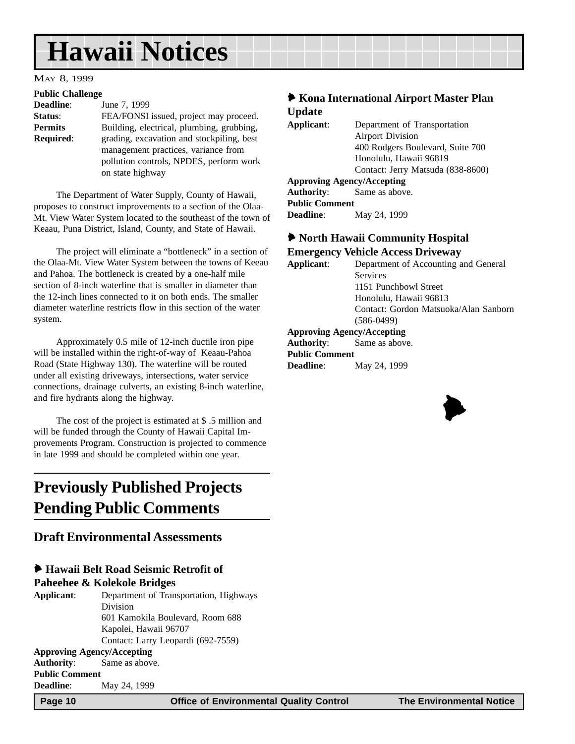## <span id="page-9-0"></span>**Hawaii Notices**

#### MAY 8, 1999

#### **Public Challenge**

| $-$ - $-$ - $-$ - $-$ - $-$ - $-$ - $-$ - $-$                 |  |
|---------------------------------------------------------------|--|
| June 7, 1999                                                  |  |
| FEA/FONSI issued, project may proceed.                        |  |
| Building, electrical, plumbing, grubbing,                     |  |
| <b>Required:</b><br>grading, excavation and stockpiling, best |  |
| management practices, variance from                           |  |
| pollution controls, NPDES, perform work                       |  |
| on state highway                                              |  |
|                                                               |  |

The Department of Water Supply, County of Hawaii, proposes to construct improvements to a section of the Olaa-Mt. View Water System located to the southeast of the town of Keaau, Puna District, Island, County, and State of Hawaii.

The project will eliminate a "bottleneck" in a section of the Olaa-Mt. View Water System between the towns of Keeau and Pahoa. The bottleneck is created by a one-half mile section of 8-inch waterline that is smaller in diameter than the 12-inch lines connected to it on both ends. The smaller diameter waterline restricts flow in this section of the water system.

Approximately 0.5 mile of 12-inch ductile iron pipe will be installed within the right-of-way of Keaau-Pahoa Road (State Highway 130). The waterline will be routed under all existing driveways, intersections, water service connections, drainage culverts, an existing 8-inch waterline, and fire hydrants along the highway.

The cost of the project is estimated at \$ .5 million and will be funded through the County of Hawaii Capital Improvements Program. Construction is projected to commence in late 1999 and should be completed within one year.

### **Previously Published Projects Pending Public Comments**

#### **Draft Environmental Assessments**

#### 6 **Hawaii Belt Road Seismic Retrofit of**

#### **Paheehee & Kolekole Bridges**

| Applicant:                        | Department of Transportation, Highways |  |
|-----------------------------------|----------------------------------------|--|
|                                   | Division                               |  |
|                                   | 601 Kamokila Boulevard, Room 688       |  |
|                                   | Kapolei, Hawaii 96707                  |  |
|                                   | Contact: Larry Leopardi (692-7559)     |  |
| <b>Approving Agency/Accepting</b> |                                        |  |
| <b>Authority:</b>                 | Same as above.                         |  |
| <b>Public Comment</b>             |                                        |  |
| <b>Deadline:</b>                  | May 24, 1999                           |  |

### 6 **Kona International Airport Master Plan Update**

| $   -$     |                                   |
|------------|-----------------------------------|
| Applicant: | Department of Transportation      |
|            | <b>Airport Division</b>           |
|            | 400 Rodgers Boulevard, Suite 700  |
|            | Honolulu, Hawaii 96819            |
|            | Contact: Jerry Matsuda (838-8600) |
|            | <b>Approving Agency/Accepting</b> |

| <b>Authority:</b>     | Same as above. |
|-----------------------|----------------|
| <b>Public Comment</b> |                |
| <b>Deadline:</b>      | May 24, 1999   |

#### 6 **North Hawaii Community Hospital Emergency Vehicle Access Driveway**

| Applicant: | Department of Accounting and General  |
|------------|---------------------------------------|
|            | <b>Services</b>                       |
|            | 1151 Punchbowl Street                 |
|            | Honolulu, Hawaii 96813                |
|            | Contact: Gordon Matsuoka/Alan Sanborn |
|            | $(586-0499)$                          |
|            | <b>Approving Agency/Accepting</b>     |

**Authority**: Same as above. **Public Comment**

**Deadline**: May 24, 1999

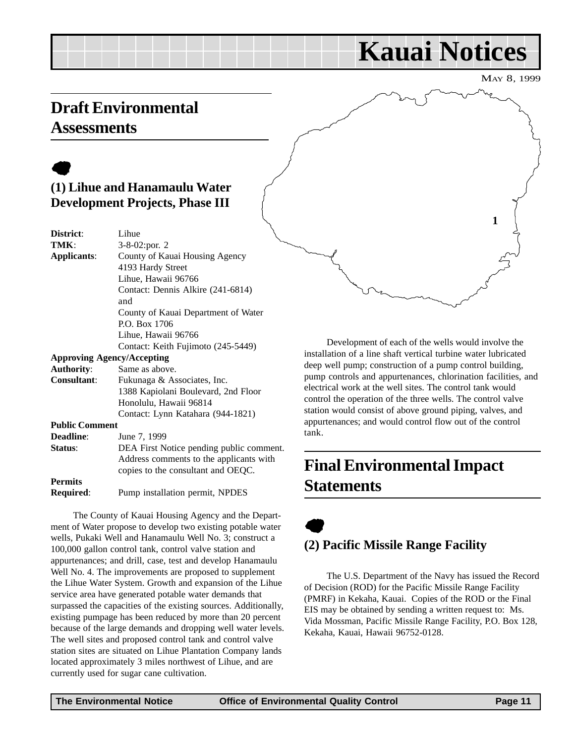## **Kauai Notices**

MAY 8, 1999

**1**

### <span id="page-10-0"></span>**Draft Environmental Assessments**

### $\bullet$ **(1) Lihue and Hanamaulu Water Development Projects, Phase III**

| District:             | Lihue                                    |
|-----------------------|------------------------------------------|
| TMK:                  | 3-8-02:por. 2                            |
| <b>Applicants:</b>    | County of Kauai Housing Agency           |
|                       | 4193 Hardy Street                        |
|                       | Lihue, Hawaii 96766                      |
|                       | Contact: Dennis Alkire (241-6814)        |
|                       | and                                      |
|                       | County of Kauai Department of Water      |
|                       | P.O. Box 1706                            |
|                       | Lihue, Hawaii 96766                      |
|                       | Contact: Keith Fujimoto (245-5449)       |
|                       | <b>Approving Agency/Accepting</b>        |
| <b>Authority:</b>     | Same as above.                           |
| Consultant:           | Fukunaga & Associates, Inc.              |
|                       | 1388 Kapiolani Boulevard, 2nd Floor      |
|                       | Honolulu, Hawaii 96814                   |
|                       | Contact: Lynn Katahara (944-1821)        |
| <b>Public Comment</b> |                                          |
| <b>Deadline:</b>      | June 7, 1999                             |
| Status:               | DEA First Notice pending public comment. |
|                       | Address comments to the applicants with  |
|                       | copies to the consultant and OEQC.       |
| <b>Permits</b>        |                                          |
| Required:             | Pump installation permit, NPDES          |
|                       |                                          |

The County of Kauai Housing Agency and the Department of Water propose to develop two existing potable water wells, Pukaki Well and Hanamaulu Well No. 3; construct a 100,000 gallon control tank, control valve station and appurtenances; and drill, case, test and develop Hanamaulu Well No. 4. The improvements are proposed to supplement the Lihue Water System. Growth and expansion of the Lihue service area have generated potable water demands that surpassed the capacities of the existing sources. Additionally, existing pumpage has been reduced by more than 20 percent because of the large demands and dropping well water levels. The well sites and proposed control tank and control valve station sites are situated on Lihue Plantation Company lands located approximately 3 miles northwest of Lihue, and are currently used for sugar cane cultivation.

Development of each of the wells would involve the installation of a line shaft vertical turbine water lubricated deep well pump; construction of a pump control building, pump controls and appurtenances, chlorination facilities, and electrical work at the well sites. The control tank would control the operation of the three wells. The control valve station would consist of above ground piping, valves, and appurtenances; and would control flow out of the control tank.

### **Final Environmental Impact Statements**

### $\bullet$ **(2) Pacific Missile Range Facility**

The U.S. Department of the Navy has issued the Record of Decision (ROD) for the Pacific Missile Range Facility (PMRF) in Kekaha, Kauai. Copies of the ROD or the Final EIS may be obtained by sending a written request to: Ms. Vida Mossman, Pacific Missile Range Facility, P.O. Box 128, Kekaha, Kauai, Hawaii 96752-0128.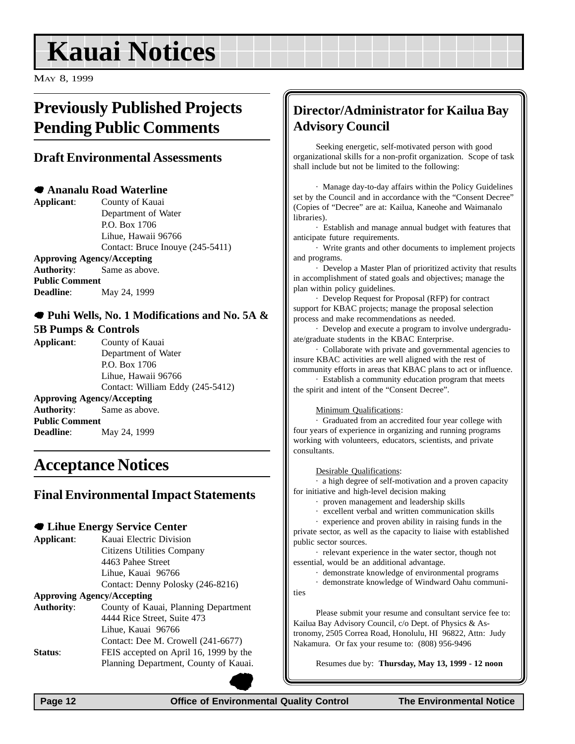## <span id="page-11-0"></span>**Kauai Notices**

MAY 8, 1999

### **Previously Published Projects Pending Public Comments**

#### **Draft Environmental Assessments**

#### 7 **Ananalu Road Waterline**

**Deadline**: May 24, 1999

**Applicant**: County of Kauai Department of Water P.O. Box 1706 Lihue, Hawaii 96766 Contact: Bruce Inouye (245-5411) **Approving Agency/Accepting Authority**: Same as above. **Public Comment**

7 **Puhi Wells, No. 1 Modifications and No. 5A & 5B Pumps & Controls**

**Applicant**: County of Kauai Department of Water P.O. Box 1706 Lihue, Hawaii 96766 Contact: William Eddy (245-5412) **Approving Agency/Accepting Authority**: Same as above. **Public Comment Deadline:** May 24, 1999

### **Acceptance Notices**

#### **Final Environmental Impact Statements**

#### 7 **Lihue Energy Service Center**

| Applicant: | Kauai Electric Division           |
|------------|-----------------------------------|
|            | Citizens Utilities Company        |
|            | 4463 Pahee Street                 |
|            | Lihue, Kauai 96766                |
|            | Contact: Denny Polosky (246-8216) |
|            |                                   |

#### **Approving Agency/Accepting**

| <b>Authority:</b> | County of Kauai, Planning Department   |
|-------------------|----------------------------------------|
|                   | 4444 Rice Street, Suite 473            |
|                   | Lihue, Kauai 96766                     |
|                   | Contact: Dee M. Crowell (241-6677)     |
| Status:           | FEIS accepted on April 16, 1999 by the |
|                   | Planning Department, County of Kauai.  |

### **Director/Administrator for Kailua Bay Advisory Council**

Seeking energetic, self-motivated person with good organizational skills for a non-profit organization. Scope of task shall include but not be limited to the following:

· Manage day-to-day affairs within the Policy Guidelines set by the Council and in accordance with the "Consent Decree" (Copies of "Decree" are at: Kailua, Kaneohe and Waimanalo libraries).

· Establish and manage annual budget with features that anticipate future requirements.

· Write grants and other documents to implement projects and programs.

· Develop a Master Plan of prioritized activity that results in accomplishment of stated goals and objectives; manage the plan within policy guidelines.

· Develop Request for Proposal (RFP) for contract support for KBAC projects; manage the proposal selection process and make recommendations as needed.

· Develop and execute a program to involve undergraduate/graduate students in the KBAC Enterprise.

· Collaborate with private and governmental agencies to insure KBAC activities are well aligned with the rest of community efforts in areas that KBAC plans to act or influence.

· Establish a community education program that meets the spirit and intent of the "Consent Decree".

#### Minimum Qualifications:

· Graduated from an accredited four year college with four years of experience in organizing and running programs working with volunteers, educators, scientists, and private consultants.

#### Desirable Qualifications:

· a high degree of self-motivation and a proven capacity for initiative and high-level decision making

· proven management and leadership skills

· excellent verbal and written communication skills

· experience and proven ability in raising funds in the private sector, as well as the capacity to liaise with established public sector sources.

· relevant experience in the water sector, though not essential, would be an additional advantage.

· demonstrate knowledge of environmental programs

· demonstrate knowledge of Windward Oahu communi-

ties

Please submit your resume and consultant service fee to: Kailua Bay Advisory Council, c/o Dept. of Physics & Astronomy, 2505 Correa Road, Honolulu, HI 96822, Attn: Judy Nakamura. Or fax your resume to: (808) 956-9496

Resumes due by: **Thursday, May 13, 1999 - 12 noon**

 **Page 12 Control Control Control Control Page 12 The Environmental Notice Control Control Control Page 12**  $\bullet$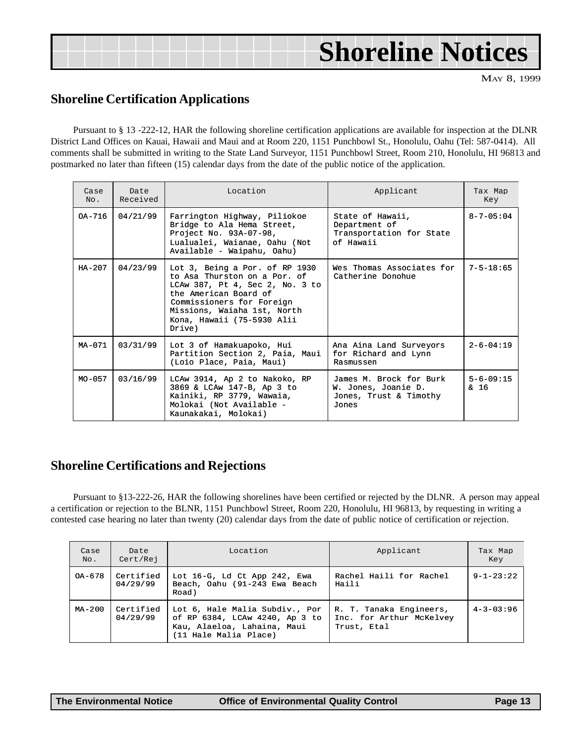## <span id="page-12-0"></span>**Shoreline Notices**

MAY 8, 1999

#### **Shoreline Certification Applications**

Pursuant to § 13 -222-12, HAR the following shoreline certification applications are available for inspection at the DLNR District Land Offices on Kauai, Hawaii and Maui and at Room 220, 1151 Punchbowl St., Honolulu, Oahu (Tel: 587-0414). All comments shall be submitted in writing to the State Land Surveyor, 1151 Punchbowl Street, Room 210, Honolulu, HI 96813 and postmarked no later than fifteen (15) calendar days from the date of the public notice of the application.

| Case<br>No. | Date<br>Received | Location                                                                                                                                                                                                                        | Applicant                                                                         | Tax Map<br>Key          |
|-------------|------------------|---------------------------------------------------------------------------------------------------------------------------------------------------------------------------------------------------------------------------------|-----------------------------------------------------------------------------------|-------------------------|
| $OA-716$    | 04/21/99         | Farrington Highway, Piliokoe<br>Bridge to Ala Hema Street,<br>Project No. 93A-07-98,<br>Lualualei, Waianae, Oahu (Not<br>Available - Waipahu, Oahu)                                                                             | State of Hawaii,<br>Department of<br>Transportation for State<br>of Hawaii        | $8 - 7 - 05:04$         |
| $HA - 207$  | 04/23/99         | Lot 3, Being a Por. of RP 1930<br>to Asa Thurston on a Por. of<br>LCAw 387, Pt 4, Sec 2, No. 3 to<br>the American Board of<br>Commissioners for Foreign<br>Missions, Waiaha 1st, North<br>Kona, Hawaii (75-5930 Alii<br>Dirive) | Wes Thomas Associates for<br>Catherine Donohue                                    | $7 - 5 - 18:65$         |
| $MA-071$    | 03/31/99         | Lot 3 of Hamakuapoko, Hui<br>Partition Section 2, Paia, Maui<br>(Loio Place, Paia, Maui)                                                                                                                                        | Ana Aina Land Surveyors<br>for Richard and Lynn<br>Rasmussen                      | $2 - 6 - 04:19$         |
| $MO - 0.57$ | 03/16/99         | LCAw 3914, Ap 2 to Nakoko, RP<br>3869 & LCAw 147-B, Ap 3 to<br>Kainiki, RP 3779, Wawaia,<br>Molokai (Not Available -<br>Kaunakakai, Molokai)                                                                                    | James M. Brock for Burk<br>W. Jones, Joanie D.<br>Jones, Trust & Timothy<br>Jones | $5 - 6 - 09:15$<br>& 16 |

#### **Shoreline Certifications and Rejections**

Pursuant to §13-222-26, HAR the following shorelines have been certified or rejected by the DLNR. A person may appeal a certification or rejection to the BLNR, 1151 Punchbowl Street, Room 220, Honolulu, HI 96813, by requesting in writing a contested case hearing no later than twenty (20) calendar days from the date of public notice of certification or rejection.

| Case<br>No. | Date<br>Cert/Rej      | Location                                                                                                                 | Applicant                                                          | Tax Map<br>Key  |
|-------------|-----------------------|--------------------------------------------------------------------------------------------------------------------------|--------------------------------------------------------------------|-----------------|
| OA-678      | Certified<br>04/29/99 | Lot 16-G, Ld Ct App 242, Ewa<br>Beach, Oahu (91-243 Ewa Beach<br>Road)                                                   | Rachel Haili for Rachel<br>Haili                                   | $9 - 1 - 23:22$ |
| $MA - 200$  | Certified<br>04/29/99 | Lot 6, Hale Malia Subdiv., Por<br>of RP 6384, LCAw 4240, Ap 3 to<br>Kau, Alaeloa, Lahaina, Maui<br>(11 Hale Malia Place) | R. T. Tanaka Engineers,<br>Inc. for Arthur McKelvey<br>Trust, Etal | $4 - 3 - 03:96$ |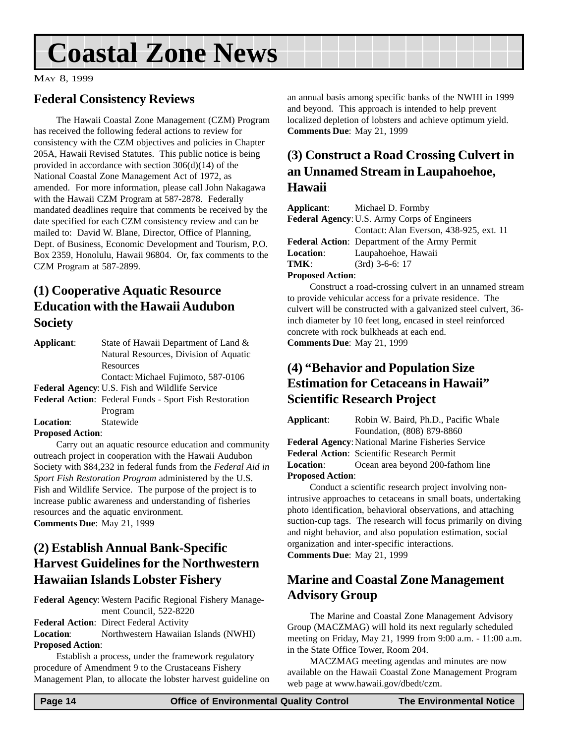## <span id="page-13-0"></span>**Coastal Zone News**

MAY 8, 1999

### **Federal Consistency Reviews**

The Hawaii Coastal Zone Management (CZM) Program has received the following federal actions to review for consistency with the CZM objectives and policies in Chapter 205A, Hawaii Revised Statutes. This public notice is being provided in accordance with section 306(d)(14) of the National Coastal Zone Management Act of 1972, as amended. For more information, please call John Nakagawa with the Hawaii CZM Program at 587-2878. Federally mandated deadlines require that comments be received by the date specified for each CZM consistency review and can be mailed to: David W. Blane, Director, Office of Planning, Dept. of Business, Economic Development and Tourism, P.O. Box 2359, Honolulu, Hawaii 96804. Or, fax comments to the CZM Program at 587-2899.

### **(1) Cooperative Aquatic Resource Education with the Hawaii Audubon Society**

| Applicant:                                     | State of Hawaii Department of Land &                          |  |
|------------------------------------------------|---------------------------------------------------------------|--|
|                                                | Natural Resources, Division of Aquatic                        |  |
|                                                | Resources                                                     |  |
|                                                | Contact: Michael Fujimoto, 587-0106                           |  |
| Federal Agency: U.S. Fish and Wildlife Service |                                                               |  |
|                                                | <b>Federal Action:</b> Federal Funds - Sport Fish Restoration |  |
|                                                | Program                                                       |  |
| <b>Location:</b>                               | Statewide                                                     |  |
| Darmard Antion.                                |                                                               |  |

**Proposed Action**:

Carry out an aquatic resource education and community outreach project in cooperation with the Hawaii Audubon Society with \$84,232 in federal funds from the *Federal Aid in Sport Fish Restoration Program* administered by the U.S. Fish and Wildlife Service. The purpose of the project is to increase public awareness and understanding of fisheries resources and the aquatic environment. **Comments Due**: May 21, 1999

### **(2) Establish Annual Bank-Specific Harvest Guidelines for the Northwestern Hawaiian Islands Lobster Fishery**

**Federal Agency**: Western Pacific Regional Fishery Management Council, 522-8220 **Federal Action**: Direct Federal Activity

**Location**: Northwestern Hawaiian Islands (NWHI) **Proposed Action**:

Establish a process, under the framework regulatory procedure of Amendment 9 to the Crustaceans Fishery Management Plan, to allocate the lobster harvest guideline on an annual basis among specific banks of the NWHI in 1999 and beyond. This approach is intended to help prevent localized depletion of lobsters and achieve optimum yield. **Comments Due**: May 21, 1999

### **(3) Construct a Road Crossing Culvert in an Unnamed Stream in Laupahoehoe, Hawaii**

|                                                     | <b>Applicant:</b> Michael D. Formby                  |  |  |  |  |
|-----------------------------------------------------|------------------------------------------------------|--|--|--|--|
| <b>Federal Agency: U.S. Army Corps of Engineers</b> |                                                      |  |  |  |  |
|                                                     | Contact: Alan Everson, 438-925, ext. 11              |  |  |  |  |
|                                                     | <b>Federal Action:</b> Department of the Army Permit |  |  |  |  |
| <b>Location:</b>                                    | Laupahoehoe, Hawaii                                  |  |  |  |  |
| TMK:                                                | $(3rd)$ 3-6-6: 17                                    |  |  |  |  |
| $D$ . 1 $\lambda$ . $\lambda$                       |                                                      |  |  |  |  |

#### **Proposed Action**:

Construct a road-crossing culvert in an unnamed stream to provide vehicular access for a private residence. The culvert will be constructed with a galvanized steel culvert, 36 inch diameter by 10 feet long, encased in steel reinforced concrete with rock bulkheads at each end. **Comments Due**: May 21, 1999

### **(4) "Behavior and Population Size Estimation for Cetaceans in Hawaii" Scientific Research Project**

**Applicant**: Robin W. Baird, Ph.D., Pacific Whale

Foundation, (808) 879-8860 Federal Agency: National Marine Fisheries Service **Federal Action**: Scientific Research Permit **Location**: Ocean area beyond 200-fathom line **Proposed Action**:

Conduct a scientific research project involving nonintrusive approaches to cetaceans in small boats, undertaking photo identification, behavioral observations, and attaching suction-cup tags. The research will focus primarily on diving and night behavior, and also population estimation, social organization and inter-specific interactions. **Comments Due**: May 21, 1999

### **Marine and Coastal Zone Management Advisory Group**

The Marine and Coastal Zone Management Advisory Group (MACZMAG) will hold its next regularly scheduled meeting on Friday, May 21, 1999 from 9:00 a.m. - 11:00 a.m. in the State Office Tower, Room 204.

MACZMAG meeting agendas and minutes are now available on the Hawaii Coastal Zone Management Program web page at www.hawaii.gov/dbedt/czm.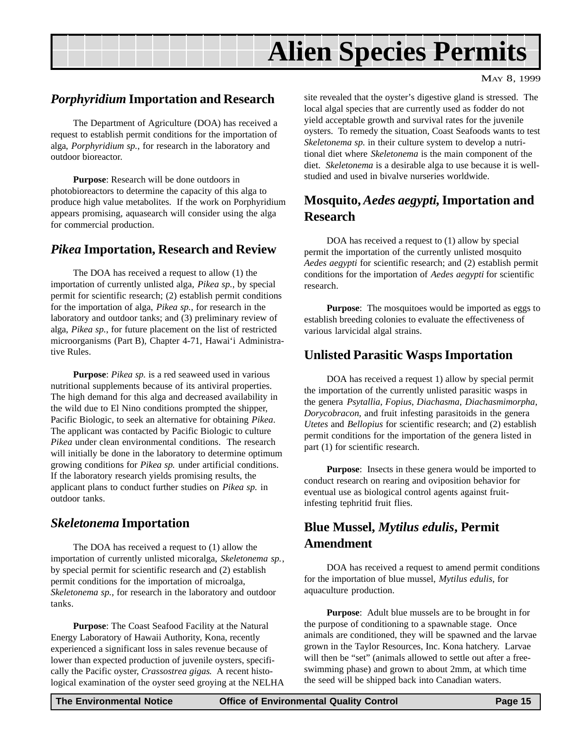## **Alien Species Permits**

#### <span id="page-14-0"></span>*Porphyridium* **Importation and Research**

The Department of Agriculture (DOA) has received a request to establish permit conditions for the importation of alga, *Porphyridium sp.*, for research in the laboratory and outdoor bioreactor.

**Purpose**: Research will be done outdoors in photobioreactors to determine the capacity of this alga to produce high value metabolites. If the work on Porphyridium appears promising, aquasearch will consider using the alga for commercial production.

#### *Pikea* **Importation, Research and Review**

The DOA has received a request to allow (1) the importation of currently unlisted alga, *Pikea sp.*, by special permit for scientific research; (2) establish permit conditions for the importation of alga, *Pikea sp.*, for research in the laboratory and outdoor tanks; and (3) preliminary review of alga, *Pikea sp.*, for future placement on the list of restricted microorganisms (Part B), Chapter 4-71, Hawai'i Administrative Rules.

**Purpose**: *Pikea sp.* is a red seaweed used in various nutritional supplements because of its antiviral properties. The high demand for this alga and decreased availability in the wild due to El Nino conditions prompted the shipper, Pacific Biologic, to seek an alternative for obtaining *Pikea*. The applicant was contacted by Pacific Biologic to culture *Pikea* under clean environmental conditions. The research will initially be done in the laboratory to determine optimum growing conditions for *Pikea sp.* under artificial conditions. If the laboratory research yields promising results, the applicant plans to conduct further studies on *Pikea sp.* in outdoor tanks.

#### *Skeletonema* **Importation**

The DOA has received a request to (1) allow the importation of currently unlisted micoralga, *Skeletonema sp.*, by special permit for scientific research and (2) establish permit conditions for the importation of microalga, *Skeletonema sp.*, for research in the laboratory and outdoor tanks.

**Purpose**: The Coast Seafood Facility at the Natural Energy Laboratory of Hawaii Authority, Kona, recently experienced a significant loss in sales revenue because of lower than expected production of juvenile oysters, specifically the Pacific oyster, *Crassostrea gigas*. A recent histological examination of the oyster seed groying at the NELHA site revealed that the oyster's digestive gland is stressed. The local algal species that are currently used as fodder do not yield acceptable growth and survival rates for the juvenile oysters. To remedy the situation, Coast Seafoods wants to test *Skeletonema sp.* in their culture system to develop a nutritional diet where *Skeletonema* is the main component of the diet. *Skeletonema* is a desirable alga to use because it is wellstudied and used in bivalve nurseries worldwide.

### **Mosquito,** *Aedes aegypti***, Importation and Research**

DOA has received a request to (1) allow by special permit the importation of the currently unlisted mosquito *Aedes aegypti* for scientific research; and (2) establish permit conditions for the importation of *Aedes aegypti* for scientific research.

**Purpose**: The mosquitoes would be imported as eggs to establish breeding colonies to evaluate the effectiveness of various larvicidal algal strains.

### **Unlisted Parasitic Wasps Importation**

DOA has received a request 1) allow by special permit the importation of the currently unlisted parasitic wasps in the genera *Psytallia*, *Fopius*, *Diachasma*, *Diachasmimorpha*, *Dorycobracon*, and fruit infesting parasitoids in the genera *Utetes* and *Bellopius* for scientific research; and (2) establish permit conditions for the importation of the genera listed in part (1) for scientific research.

**Purpose**: Insects in these genera would be imported to conduct research on rearing and oviposition behavior for eventual use as biological control agents against fruitinfesting tephritid fruit flies.

### **Blue Mussel,** *Mytilus edulis***, Permit Amendment**

DOA has received a request to amend permit conditions for the importation of blue mussel, *Mytilus edulis*, for aquaculture production.

**Purpose**: Adult blue mussels are to be brought in for the purpose of conditioning to a spawnable stage. Once animals are conditioned, they will be spawned and the larvae grown in the Taylor Resources, Inc. Kona hatchery. Larvae will then be "set" (animals allowed to settle out after a freeswimming phase) and grown to about 2mm, at which time the seed will be shipped back into Canadian waters.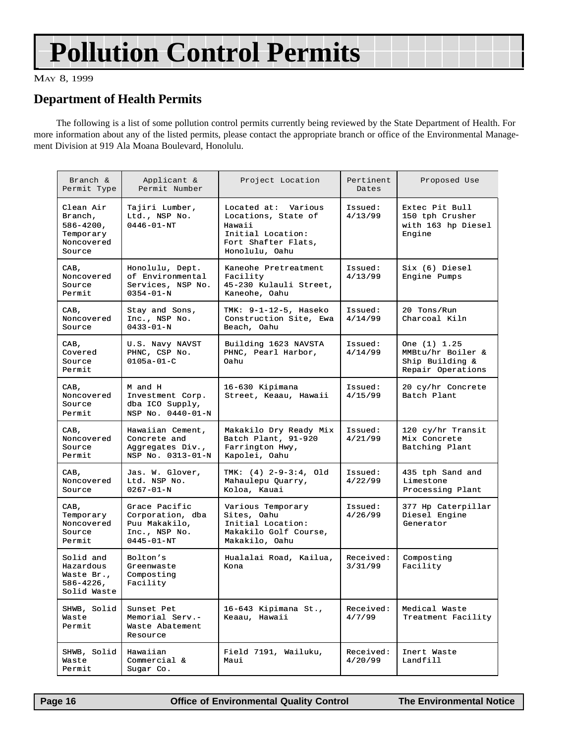## **Pollution Control Permits**

#### MAY 8, 1999

#### **Department of Health Permits**

The following is a list of some pollution control permits currently being reviewed by the State Department of Health. For more information about any of the listed permits, please contact the appropriate branch or office of the Environmental Management Division at 919 Ala Moana Boulevard, Honolulu.

| Branch &<br>Permit Type                                                     | Applicant &<br>Permit Number                                                            | Project Location                                                                                                   | Pertinent<br>Dates   | Proposed Use                                                              |
|-----------------------------------------------------------------------------|-----------------------------------------------------------------------------------------|--------------------------------------------------------------------------------------------------------------------|----------------------|---------------------------------------------------------------------------|
| Clean Air<br>Branch,<br>$586 - 4200$ ,<br>Temporary<br>Noncovered<br>Source | Tajiri Lumber,<br>Ltd., NSP No.<br>$0446 - 01 - NT$                                     | Located at: Various<br>Locations, State of<br>Hawaii<br>Initial Location:<br>Fort Shafter Flats,<br>Honolulu, Oahu | Issued:<br>4/13/99   | Extec Pit Bull<br>150 tph Crusher<br>with 163 hp Diesel<br>Engine         |
| CAB,<br>Noncovered<br>Source<br>Permit                                      | Honolulu, Dept.<br>of Environmental<br>Services, NSP No.<br>$0354 - 01 - N$             | Kaneohe Pretreatment<br>Facility<br>45-230 Kulauli Street,<br>Kaneohe, Oahu                                        | Issued:<br>4/13/99   | Six (6) Diesel<br>Engine Pumps                                            |
| CAB,<br>Noncovered<br>Source                                                | Stay and Sons,<br>Inc., NSP No.<br>$0433 - 01 - N$                                      | TMK: 9-1-12-5, Haseko<br>Construction Site, Ewa<br>Beach, Oahu                                                     | Issued:<br>4/14/99   | 20 Tons/Run<br>Charcoal Kiln                                              |
| CAB,<br>Covered<br>Source<br>Permit                                         | U.S. Navy NAVST<br>PHNC, CSP No.<br>$0105a - 01 - C$                                    | Building 1623 NAVSTA<br>PHNC, Pearl Harbor,<br>Oahu                                                                | Issued:<br>4/14/99   | One (1) 1.25<br>MMBtu/hr Boiler &<br>Ship Building &<br>Repair Operations |
| CAB,<br>Noncovered<br>Source<br>Permit                                      | M and H<br>Investment Corp.<br>dba ICO Supply,<br>NSP No. 0440-01-N                     | 16-630 Kipimana<br>Street, Keaau, Hawaii                                                                           | Issued:<br>4/15/99   | 20 cy/hr Concrete<br>Batch Plant                                          |
| CAB,<br>Noncovered<br>Source<br>Permit                                      | Hawaiian Cement,<br>Concrete and<br>Aggregates Div.,<br>NSP No. 0313-01-N               | Makakilo Dry Ready Mix<br>Batch Plant, 91-920<br>Farrington Hwy,<br>Kapolei, Oahu                                  | Issued:<br>4/21/99   | 120 cy/hr Transit<br>Mix Concrete<br>Batching Plant                       |
| CAB,<br>Noncovered<br>Source                                                | Jas. W. Glover,<br>Ltd. NSP No.<br>$0267 - 01 - N$                                      | TMK: (4) 2-9-3:4, Old<br>Mahaulepu Quarry,<br>Koloa, Kauai                                                         | Issued:<br>4/22/99   | 435 tph Sand and<br>Limestone<br>Processing Plant                         |
| CAB,<br>Temporary<br>Noncovered<br>Source<br>Permit                         | Grace Pacific<br>Corporation, dba<br>Puu Makakilo,<br>Inc., NSP No.<br>$0445 - 01 - NT$ | Various Temporary<br>Sites, Oahu<br>Initial Location:<br>Makakilo Golf Course,<br>Makakilo, Oahu                   | Issued:<br>4/26/99   | 377 Hp Caterpillar<br>Diesel Engine<br>Generator                          |
| Solid and<br>Hazardous<br>Waste Br.,<br>$586 - 4226$ ,<br>Solid Waste       | Bolton's<br>Greenwaste<br>Composting<br>Facility                                        | Hualalai Road, Kailua,<br>Kona                                                                                     | Received:<br>3/31/99 | Composting<br>Facility                                                    |
| SHWB, Solid<br>Waste<br>Permit                                              | Sunset Pet<br>Memorial Serv.-<br>Waste Abatement<br>Resource                            | 16-643 Kipimana St.,<br>Keaau, Hawaii                                                                              | Received:<br>4/7/99  | Medical Waste<br>Treatment Facility                                       |
| SHWB, Solid<br>Waste<br>Permit                                              | Hawaiian<br>Commercial &<br>Sugar Co.                                                   | Field 7191, Wailuku,<br>Maui                                                                                       | Received:<br>4/20/99 | Inert Waste<br>Landfill                                                   |

Page 16 **Control Control Control Control Page 16** Control Page 16 Control Page 16 Control Page 16 Control Page 16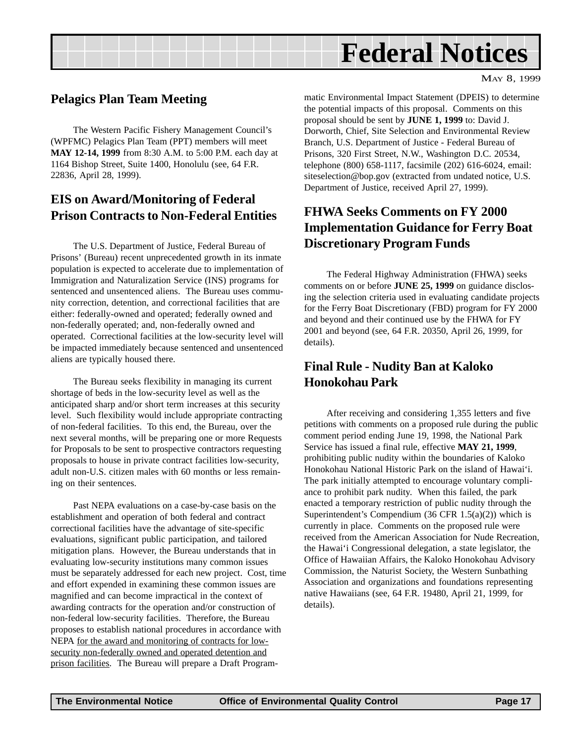<span id="page-16-0"></span>

#### **Pelagics Plan Team Meeting**

The Western Pacific Fishery Management Council's (WPFMC) Pelagics Plan Team (PPT) members will meet **MAY 12-14, 1999** from 8:30 A.M. to 5:00 P.M. each day at 1164 Bishop Street, Suite 1400, Honolulu (see, 64 F.R. 22836, April 28, 1999).

### **EIS on Award/Monitoring of Federal Prison Contracts to Non-Federal Entities**

The U.S. Department of Justice, Federal Bureau of Prisons' (Bureau) recent unprecedented growth in its inmate population is expected to accelerate due to implementation of Immigration and Naturalization Service (INS) programs for sentenced and unsentenced aliens. The Bureau uses community correction, detention, and correctional facilities that are either: federally-owned and operated; federally owned and non-federally operated; and, non-federally owned and operated. Correctional facilities at the low-security level will be impacted immediately because sentenced and unsentenced aliens are typically housed there.

The Bureau seeks flexibility in managing its current shortage of beds in the low-security level as well as the anticipated sharp and/or short term increases at this security level. Such flexibility would include appropriate contracting of non-federal facilities. To this end, the Bureau, over the next several months, will be preparing one or more Requests for Proposals to be sent to prospective contractors requesting proposals to house in private contract facilities low-security, adult non-U.S. citizen males with 60 months or less remaining on their sentences.

Past NEPA evaluations on a case-by-case basis on the establishment and operation of both federal and contract correctional facilities have the advantage of site-specific evaluations, significant public participation, and tailored mitigation plans. However, the Bureau understands that in evaluating low-security institutions many common issues must be separately addressed for each new project. Cost, time and effort expended in examining these common issues are magnified and can become impractical in the context of awarding contracts for the operation and/or construction of non-federal low-security facilities. Therefore, the Bureau proposes to establish national procedures in accordance with NEPA for the award and monitoring of contracts for lowsecurity non-federally owned and operated detention and prison facilities. The Bureau will prepare a Draft Programmatic Environmental Impact Statement (DPEIS) to determine the potential impacts of this proposal. Comments on this proposal should be sent by **JUNE 1, 1999** to: David J. Dorworth, Chief, Site Selection and Environmental Review Branch, U.S. Department of Justice - Federal Bureau of Prisons, 320 First Street, N.W., Washington D.C. 20534, telephone (800) 658-1117, facsimile (202) 616-6024, email: siteselection@bop.gov (extracted from undated notice, U.S. Department of Justice, received April 27, 1999).

MAY 8, 1999

### **FHWA Seeks Comments on FY 2000 Implementation Guidance for Ferry Boat Discretionary Program Funds**

The Federal Highway Administration (FHWA) seeks comments on or before **JUNE 25, 1999** on guidance disclosing the selection criteria used in evaluating candidate projects for the Ferry Boat Discretionary (FBD) program for FY 2000 and beyond and their continued use by the FHWA for FY 2001 and beyond (see, 64 F.R. 20350, April 26, 1999, for details).

### **Final Rule - Nudity Ban at Kaloko Honokohau Park**

After receiving and considering 1,355 letters and five petitions with comments on a proposed rule during the public comment period ending June 19, 1998, the National Park Service has issued a final rule, effective **MAY 21, 1999**, prohibiting public nudity within the boundaries of Kaloko Honokohau National Historic Park on the island of Hawai'i. The park initially attempted to encourage voluntary compliance to prohibit park nudity. When this failed, the park enacted a temporary restriction of public nudity through the Superintendent's Compendium  $(36 \text{ CFR } 1.5(a)(2))$  which is currently in place. Comments on the proposed rule were received from the American Association for Nude Recreation, the Hawai'i Congressional delegation, a state legislator, the Office of Hawaiian Affairs, the Kaloko Honokohau Advisory Commission, the Naturist Society, the Western Sunbathing Association and organizations and foundations representing native Hawaiians (see, 64 F.R. 19480, April 21, 1999, for details).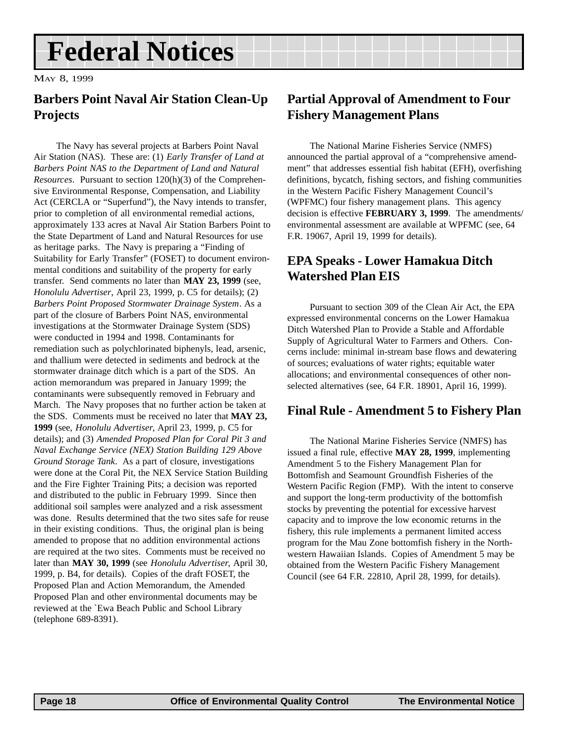## <span id="page-17-0"></span>**Federal Notices**

MAY 8, 1999

### **Barbers Point Naval Air Station Clean-Up Projects**

The Navy has several projects at Barbers Point Naval Air Station (NAS). These are: (1) *Early Transfer of Land at Barbers Point NAS to the Department of Land and Natural Resources*. Pursuant to section 120(h)(3) of the Comprehensive Environmental Response, Compensation, and Liability Act (CERCLA or "Superfund"), the Navy intends to transfer, prior to completion of all environmental remedial actions, approximately 133 acres at Naval Air Station Barbers Point to the State Department of Land and Natural Resources for use as heritage parks. The Navy is preparing a "Finding of Suitability for Early Transfer" (FOSET) to document environmental conditions and suitability of the property for early transfer. Send comments no later than **MAY 23, 1999** (see, *Honolulu Advertiser*, April 23, 1999, p. C5 for details); (2) *Barbers Point Proposed Stormwater Drainage System*. As a part of the closure of Barbers Point NAS, environmental investigations at the Stormwater Drainage System (SDS) were conducted in 1994 and 1998. Contaminants for remediation such as polychlorinated biphenyls, lead, arsenic, and thallium were detected in sediments and bedrock at the stormwater drainage ditch which is a part of the SDS. An action memorandum was prepared in January 1999; the contaminants were subsequently removed in February and March. The Navy proposes that no further action be taken at the SDS. Comments must be received no later that **MAY 23, 1999** (see, *Honolulu Advertiser*, April 23, 1999, p. C5 for details); and (3) *Amended Proposed Plan for Coral Pit 3 and Naval Exchange Service (NEX) Station Building 129 Above Ground Storage Tank*. As a part of closure, investigations were done at the Coral Pit, the NEX Service Station Building and the Fire Fighter Training Pits; a decision was reported and distributed to the public in February 1999. Since then additional soil samples were analyzed and a risk assessment was done. Results determined that the two sites safe for reuse in their existing conditions. Thus, the original plan is being amended to propose that no addition environmental actions are required at the two sites. Comments must be received no later than **MAY 30, 1999** (see *Honolulu Advertiser*, April 30, 1999, p. B4, for details). Copies of the draft FOSET, the Proposed Plan and Action Memorandum, the Amended Proposed Plan and other environmental documents may be reviewed at the `Ewa Beach Public and School Library (telephone 689-8391).

### **Partial Approval of Amendment to Four Fishery Management Plans**

The National Marine Fisheries Service (NMFS) announced the partial approval of a "comprehensive amendment" that addresses essential fish habitat (EFH), overfishing definitions, bycatch, fishing sectors, and fishing communities in the Western Pacific Fishery Management Council's (WPFMC) four fishery management plans. This agency decision is effective **FEBRUARY 3, 1999**. The amendments/ environmental assessment are available at WPFMC (see, 64 F.R. 19067, April 19, 1999 for details).

### **EPA Speaks - Lower Hamakua Ditch Watershed Plan EIS**

Pursuant to section 309 of the Clean Air Act, the EPA expressed environmental concerns on the Lower Hamakua Ditch Watershed Plan to Provide a Stable and Affordable Supply of Agricultural Water to Farmers and Others. Concerns include: minimal in-stream base flows and dewatering of sources; evaluations of water rights; equitable water allocations; and environmental consequences of other nonselected alternatives (see, 64 F.R. 18901, April 16, 1999).

#### **Final Rule - Amendment 5 to Fishery Plan**

The National Marine Fisheries Service (NMFS) has issued a final rule, effective **MAY 28, 1999**, implementing Amendment 5 to the Fishery Management Plan for Bottomfish and Seamount Groundfish Fisheries of the Western Pacific Region (FMP). With the intent to conserve and support the long-term productivity of the bottomfish stocks by preventing the potential for excessive harvest capacity and to improve the low economic returns in the fishery, this rule implements a permanent limited access program for the Mau Zone bottomfish fishery in the Northwestern Hawaiian Islands. Copies of Amendment 5 may be obtained from the Western Pacific Fishery Management Council (see 64 F.R. 22810, April 28, 1999, for details).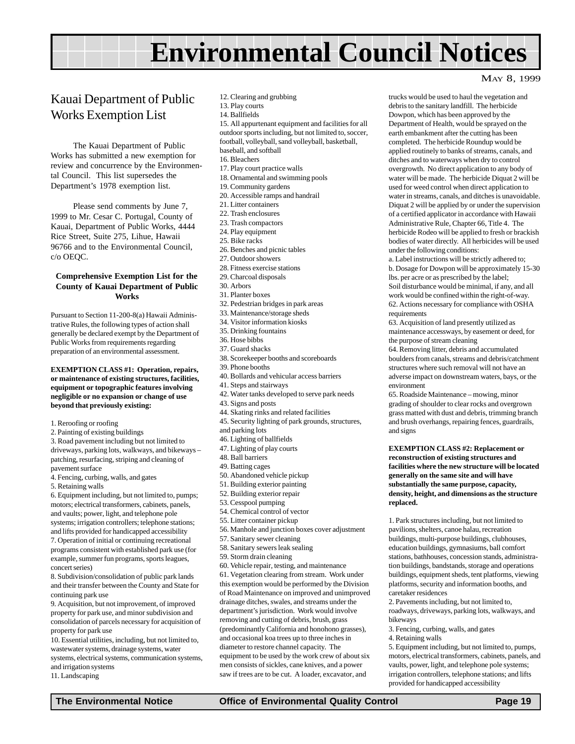## **Environmental Council Notices**

### <span id="page-18-0"></span>Kauai Department of Public Works Exemption List

The Kauai Department of Public Works has submitted a new exemption for review and concurrence by the Environmental Council. This list supersedes the Department's 1978 exemption list.

Please send comments by June 7, 1999 to Mr. Cesar C. Portugal, County of Kauai, Department of Public Works, 4444 Rice Street, Suite 275, Lihue, Hawaii 96766 and to the Environmental Council, c/o OEQC.

#### **Comprehensive Exemption List for the County of Kauai Department of Public Works**

Pursuant to Section 11-200-8(a) Hawaii Administrative Rules, the following types of action shall generally be declared exempt by the Department of Public Works from requirements regarding preparation of an environmental assessment.

**EXEMPTION CLASS #1: Operation, repairs, or maintenance of existing structures, facilities, equipment or topographic features involving negligible or no expansion or change of use beyond that previously existing:**

- 1. Reroofing or roofing
- 2. Painting of existing buildings

3. Road pavement including but not limited to driveways, parking lots, walkways, and bikeways – patching, resurfacing, striping and cleaning of pavement surface

4. Fencing, curbing, walls, and gates

5. Retaining walls

6. Equipment including, but not limited to, pumps; motors; electrical transformers, cabinets, panels, and vaults; power, light, and telephone pole systems; irrigation controllers; telephone stations; and lifts provided for handicapped accessibility 7. Operation of initial or continuing recreational programs consistent with established park use (for example, summer fun programs, sports leagues, concert series)

8. Subdivision/consolidation of public park lands and their transfer between the County and State for continuing park use

9. Acquisition, but not improvement, of improved property for park use, and minor subdivision and consolidation of parcels necessary for acquisition of property for park use

10. Essential utilities, including, but not limited to, wastewater systems, drainage systems, water systems, electrical systems, communication systems, and irrigation systems

11. Landscaping

- 12. Clearing and grubbing
- 13. Play courts
- 14. Ballfields

15. All appurtenant equipment and facilities for all outdoor sports including, but not limited to, soccer, football, volleyball, sand volleyball, basketball, baseball, and softball

- 16. Bleachers
- 17. Play court practice walls
- 18. Ornamental and swimming pools
- 19. Community gardens
- 20. Accessible ramps and handrail
- 21. Litter containers
- 22. Trash enclosures
- 23. Trash compactors
- 24. Play equipment
- 25. Bike racks
- 26. Benches and picnic tables
- 27. Outdoor showers
- 28. Fitness exercise stations
- 29. Charcoal disposals
- 30. Arbors
- 31. Planter boxes
- 32. Pedestrian bridges in park areas
- 33. Maintenance/storage sheds
- 34. Visitor information kiosks
- 35. Drinking fountains
- 36. Hose bibbs
- 37. Guard shacks
- 38. Scorekeeper booths and scoreboards
- 39. Phone booths
- 40. Bollards and vehicular access barriers
- 41. Steps and stairways
- 42. Water tanks developed to serve park needs
- 43. Signs and posts
- 44. Skating rinks and related facilities
- 45. Security lighting of park grounds, structures,
- and parking lots
- 46. Lighting of ballfields
- 47. Lighting of play courts
- 48. Ball barriers
- 49. Batting cages
- 50. Abandoned vehicle pickup
- 51. Building exterior painting
- 52. Building exterior repair
- 53. Cesspool pumping
- 54. Chemical control of vector
- 55. Litter container pickup
- 56. Manhole and junction boxes cover adjustment
- 57. Sanitary sewer cleaning
- 58. Sanitary sewers leak sealing
- 59. Storm drain cleaning
- 60. Vehicle repair, testing, and maintenance

61. Vegetation clearing from stream. Work under this exemption would be performed by the Division of Road Maintenance on improved and unimproved drainage ditches, swales, and streams under the department's jurisdiction. Work would involve removing and cutting of debris, brush, grass (predominantly California and honohono grasses), and occasional koa trees up to three inches in diameter to restore channel capacity. The equipment to be used by the work crew of about six men consists of sickles, cane knives, and a power saw if trees are to be cut. A loader, excavator, and

### trucks would be used to haul the vegetation and debris to the sanitary landfill. The herbicide

MAY 8, 1999

Dowpon, which has been approved by the Department of Health, would be sprayed on the earth embankment after the cutting has been completed. The herbicide Roundup would be applied routinely to banks of streams, canals, and ditches and to waterways when dry to control overgrowth. No direct application to any body of water will be made. The herbicide Diquat 2 will be used for weed control when direct application to water in streams, canals, and ditches is unavoidable. Diquat 2 will be applied by or under the supervision of a certified applicator in accordance with Hawaii Administrative Rule, Chapter 66, Title 4. The herbicide Rodeo will be applied to fresh or brackish bodies of water directly. All herbicides will be used under the following conditions:

a. Label instructions will be strictly adhered to; b. Dosage for Dowpon will be approximately 15-30 lbs. per acre or as prescribed by the label; Soil disturbance would be minimal, if any, and all work would be confined within the right-of-way. 62. Actions necessary for compliance with OSHA requirements

63. Acquisition of land presently utilized as maintenance accessways, by easement or deed, for the purpose of stream cleaning

64. Removing litter, debris and accumulated boulders from canals, streams and debris/catchment structures where such removal will not have an adverse impact on downstream waters, bays, or the environment

65. Roadside Maintenance – mowing, minor grading of shoulder to clear rocks and overgrown grass matted with dust and debris, trimming branch and brush overhangs, repairing fences, guardrails, and signs

#### **EXEMPTION CLASS #2: Replacement or reconstruction of existing structures and facilities where the new structure will be located generally on the same site and will have substantially the same purpose, capacity, density, height, and dimensions as the structure replaced.**

1. Park structures including, but not limited to pavilions, shelters, canoe halau, recreation buildings, multi-purpose buildings, clubhouses, education buildings, gymnasiums, ball comfort stations, bathhouses, concession stands, administration buildings, bandstands, storage and operations buildings, equipment sheds, tent platforms, viewing platforms, security and information booths, and caretaker residences

2. Pavements including, but not limited to, roadways, driveways, parking lots, walkways, and bikeways

3. Fencing, curbing, walls, and gates

4. Retaining walls

5. Equipment including, but not limited to, pumps, motors, electrical transformers, cabinets, panels, and vaults, power, light, and telephone pole systems; irrigation controllers, telephone stations; and lifts provided for handicapped accessibility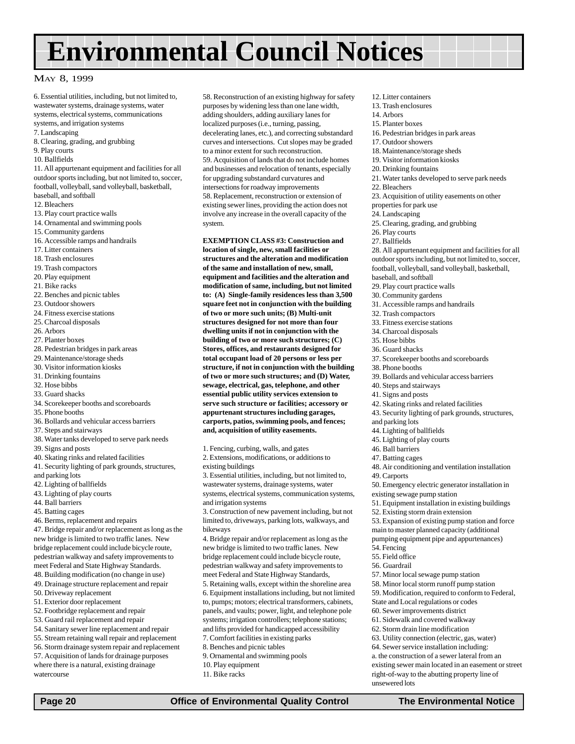## **Environmental Council Notices**

#### MAY 8, 1999

6. Essential utilities, including, but not limited to, wastewater systems, drainage systems, water systems, electrical systems, communications

- systems, and irrigation systems
- 7. Landscaping
- 8. Clearing, grading, and grubbing
- 9. Play courts
- 10. Ballfields

11. All appurtenant equipment and facilities for all outdoor sports including, but not limited to, soccer, football, volleyball, sand volleyball, basketball, baseball, and softball

- 12. Bleachers
- 13. Play court practice walls
- 14. Ornamental and swimming pools
- 15. Community gardens
- 16. Accessible ramps and handrails
- 17. Litter containers
- 18. Trash enclosures
- 19. Trash compactors
- 20. Play equipment
- 21. Bike racks
- 22. Benches and picnic tables
- 23. Outdoor showers
- 24. Fitness exercise stations
- 25. Charcoal disposals
- 26. Arbors
- 27. Planter boxes
- 28. Pedestrian bridges in park areas
- 29. Maintenance/storage sheds
- 30. Visitor information kiosks
- 31. Drinking fountains
- 32. Hose bibbs
- 33. Guard shacks
- 34. Scorekeeper booths and scoreboards
- 35. Phone booths
- 36. Bollards and vehicular access barriers
- 37. Steps and stairways
- 38. Water tanks developed to serve park needs
- 39. Signs and posts
- 40. Skating rinks and related facilities
- 41. Security lighting of park grounds, structures, and parking lots
- 42. Lighting of ballfields
- 43. Lighting of play courts
- 44. Ball barriers
- 45. Batting cages
- 46. Berms, replacement and repairs

47. Bridge repair and/or replacement as long as the new bridge is limited to two traffic lanes. New bridge replacement could include bicycle route, pedestrian walkway and safety improvements to meet Federal and State Highway Standards.

- 48. Building modification (no change in use) 49. Drainage structure replacement and repair
- 50. Driveway replacement
- 51. Exterior door replacement
- 52. Footbridge replacement and repair
- 53. Guard rail replacement and repair
- 54. Sanitary sewer line replacement and repair
- 55. Stream retaining wall repair and replacement
- 56. Storm drainage system repair and replacement
- 57. Acquisition of lands for drainage purposes where there is a natural, existing drainage watercourse

58. Reconstruction of an existing highway for safety purposes by widening less than one lane width, adding shoulders, adding auxiliary lanes for localized purposes (i.e., turning, passing, decelerating lanes, etc.), and correcting substandard curves and intersections. Cut slopes may be graded to a minor extent for such reconstruction. 59. Acquisition of lands that do not include homes and businesses and relocation of tenants, especially for upgrading substandard curvatures and intersections for roadway improvements 58. Replacement, reconstruction or extension of existing sewer lines, providing the action does not involve any increase in the overall capacity of the system.

**EXEMPTION CLASS #3: Construction and location of single, new, small facilities or**

**structures and the alteration and modification of the same and installation of new, small, equipment and facilities and the alteration and modification of same, including, but not limited to: (A) Single-family residences less than 3,500 square feet not in conjunction with the building of two or more such units; (B) Multi-unit structures designed for not more than four dwelling units if not in conjunction with the building of two or more such structures; (C) Stores, offices, and restaurants designed for total occupant load of 20 persons or less per structure, if not in conjunction with the building of two or more such structures; and (D) Water, sewage, electrical, gas, telephone, and other essential public utility services extension to serve such structure or facilities; accessory or appurtenant structures including garages, carports, patios, swimming pools, and fences; and, acquisition of utility easements.**

1. Fencing, curbing, walls, and gates 2. Extensions, modifications, or additions to

existing buildings 3. Essential utilities, including, but not limited to,

wastewater systems, drainage systems, water systems, electrical systems, communication systems, and irrigation systems

3. Construction of new pavement including, but not limited to, driveways, parking lots, walkways, and bikeways

4. Bridge repair and/or replacement as long as the new bridge is limited to two traffic lanes. New bridge replacement could include bicycle route, pedestrian walkway and safety improvements to meet Federal and State Highway Standards, 5. Retaining walls, except within the shoreline area 6. Equipment installations including, but not limited to, pumps; motors; electrical transformers, cabinets, panels, and vaults; power, light, and telephone pole systems; irrigation controllers; telephone stations; and lifts provided for handicapped accessibility 7. Comfort facilities in existing parks 8. Benches and picnic tables 9. Ornamental and swimming pools 10. Play equipment

11. Bike racks

 **Page 20 Office of Environmental Quality Control The Environmental Notice** 

- 12. Litter containers 13. Trash enclosures
- 14. Arbors
	- 15. Planter boxes
	- 16. Pedestrian bridges in park areas
	- 17. Outdoor showers
- 18. Maintenance/storage sheds
- 19. Visitor information kiosks
- 20. Drinking fountains
- 21. Water tanks developed to serve park needs
- 22. Bleachers
- 23. Acquisition of utility easements on other
- properties for park use
- 24. Landscaping
- 25. Clearing, grading, and grubbing
- 26. Play courts
- 27. Ballfields

28. All appurtenant equipment and facilities for all outdoor sports including, but not limited to, soccer, football, volleyball, sand volleyball, basketball,

- baseball, and softball 29. Play court practice walls
- 30. Community gardens
- 
- 31. Accessible ramps and handrails
- 32. Trash compactors
- 33. Fitness exercise stations
- 34. Charcoal disposals 35. Hose bibbs
- 36. Guard shacks
	-
- 37. Scorekeeper booths and scoreboards
- 38. Phone booths
- 39. Bollards and vehicular access barriers
- 40. Steps and stairways
- 41. Signs and posts
- 42. Skating rinks and related facilities
- 43. Security lighting of park grounds, structures,

48. Air conditioning and ventilation installation

50. Emergency electric generator installation in

51. Equipment installation in existing buildings

53. Expansion of existing pump station and force main to master planned capacity (additional pumping equipment pipe and appurtenances)

and parking lots

46. Ball barriers 47. Batting cages

49. Carports

54. Fencing 55. Field office 56. Guardrail

unsewered lots

44. Lighting of ballfields 45. Lighting of play courts

existing sewage pump station

52. Existing storm drain extension

57. Minor local sewage pump station 58. Minor local storm runoff pump station 59. Modification, required to conform to Federal,

State and Local regulations or codes 60. Sewer improvements district 61. Sidewalk and covered walkway 62. Storm drain line modification 63. Utility connection (electric, gas, water) 64. Sewer service installation including: a. the construction of a sewer lateral from an existing sewer main located in an easement or street right-of-way to the abutting property line of